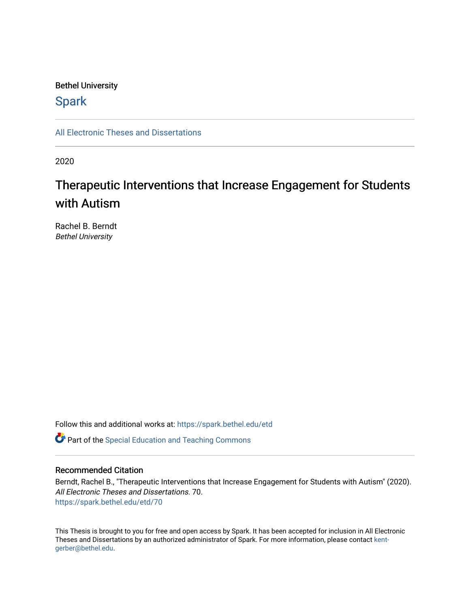# Bethel University

# **Spark**

[All Electronic Theses and Dissertations](https://spark.bethel.edu/etd) 

2020

# Therapeutic Interventions that Increase Engagement for Students with Autism

Rachel B. Berndt Bethel University

Follow this and additional works at: [https://spark.bethel.edu/etd](https://spark.bethel.edu/etd?utm_source=spark.bethel.edu%2Fetd%2F70&utm_medium=PDF&utm_campaign=PDFCoverPages)

**C** Part of the Special Education and Teaching Commons

# Recommended Citation

Berndt, Rachel B., "Therapeutic Interventions that Increase Engagement for Students with Autism" (2020). All Electronic Theses and Dissertations. 70. [https://spark.bethel.edu/etd/70](https://spark.bethel.edu/etd/70?utm_source=spark.bethel.edu%2Fetd%2F70&utm_medium=PDF&utm_campaign=PDFCoverPages) 

This Thesis is brought to you for free and open access by Spark. It has been accepted for inclusion in All Electronic Theses and Dissertations by an authorized administrator of Spark. For more information, please contact [kent](mailto:kent-gerber@bethel.edu)[gerber@bethel.edu.](mailto:kent-gerber@bethel.edu)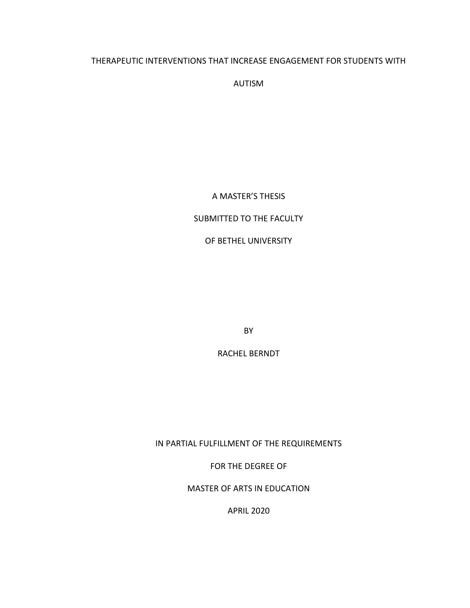# THERAPEUTIC INTERVENTIONS THAT INCREASE ENGAGEMENT FOR STUDENTS WITH

AUTISM

A MASTER'S THESIS

# SUBMITTED TO THE FACULTY

# OF BETHEL UNIVERSITY

BY

RACHEL BERNDT

IN PARTIAL FULFILLMENT OF THE REQUIREMENTS

FOR THE DEGREE OF

MASTER OF ARTS IN EDUCATION

APRIL 2020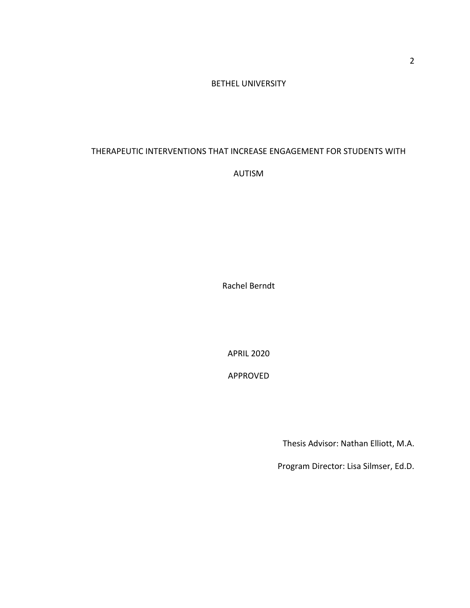# BETHEL UNIVERSITY

# THERAPEUTIC INTERVENTIONS THAT INCREASE ENGAGEMENT FOR STUDENTS WITH

AUTISM

Rachel Berndt

APRIL 2020

APPROVED

Thesis Advisor: Nathan Elliott, M.A.

Program Director: Lisa Silmser, Ed.D.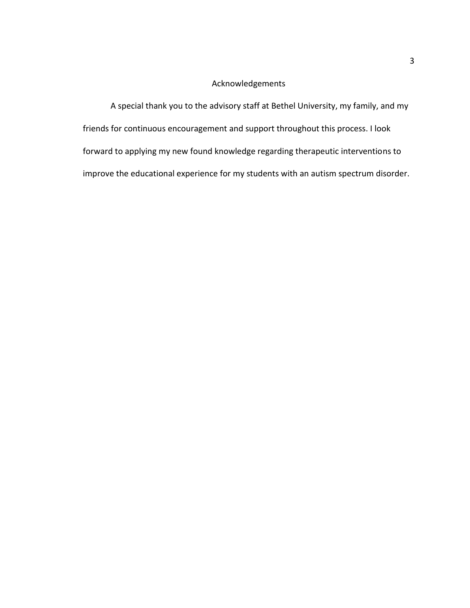# Acknowledgements

A special thank you to the advisory staff at Bethel University, my family, and my friends for continuous encouragement and support throughout this process. I look forward to applying my new found knowledge regarding therapeutic interventions to improve the educational experience for my students with an autism spectrum disorder.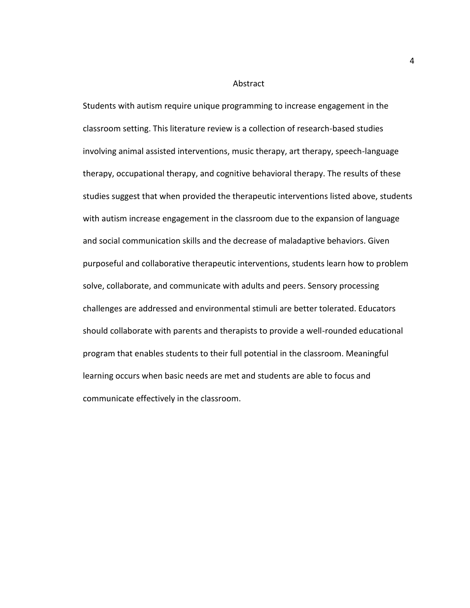#### Abstract

Students with autism require unique programming to increase engagement in the classroom setting. This literature review is a collection of research-based studies involving animal assisted interventions, music therapy, art therapy, speech-language therapy, occupational therapy, and cognitive behavioral therapy. The results of these studies suggest that when provided the therapeutic interventions listed above, students with autism increase engagement in the classroom due to the expansion of language and social communication skills and the decrease of maladaptive behaviors. Given purposeful and collaborative therapeutic interventions, students learn how to problem solve, collaborate, and communicate with adults and peers. Sensory processing challenges are addressed and environmental stimuli are better tolerated. Educators should collaborate with parents and therapists to provide a well-rounded educational program that enables students to their full potential in the classroom. Meaningful learning occurs when basic needs are met and students are able to focus and communicate effectively in the classroom.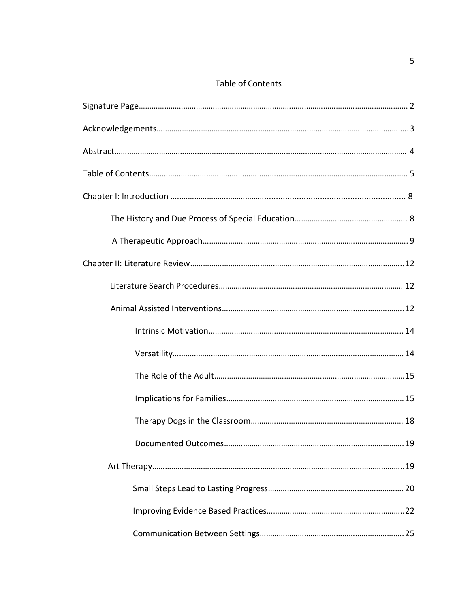# Table of Contents

| 19 |
|----|
|    |
|    |
|    |
|    |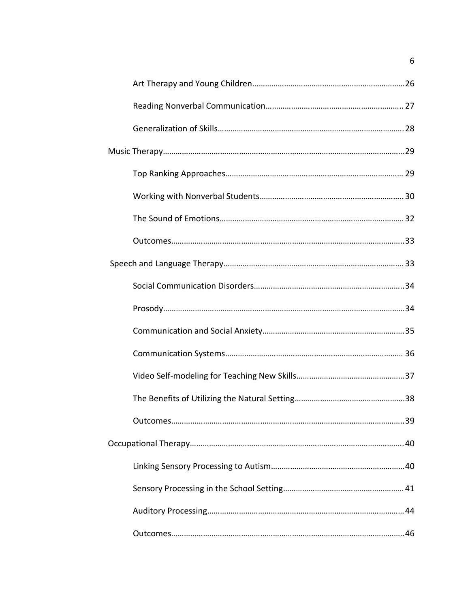6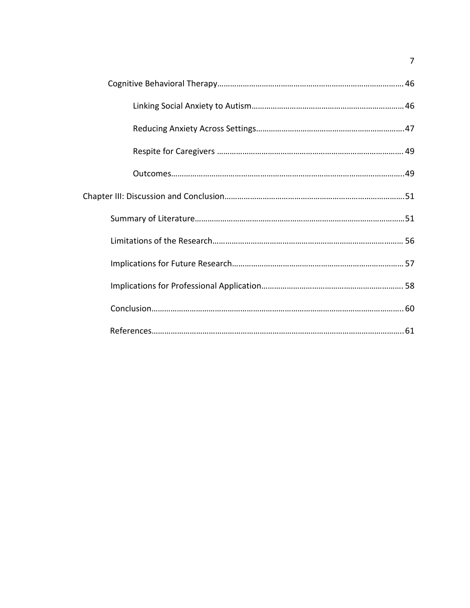7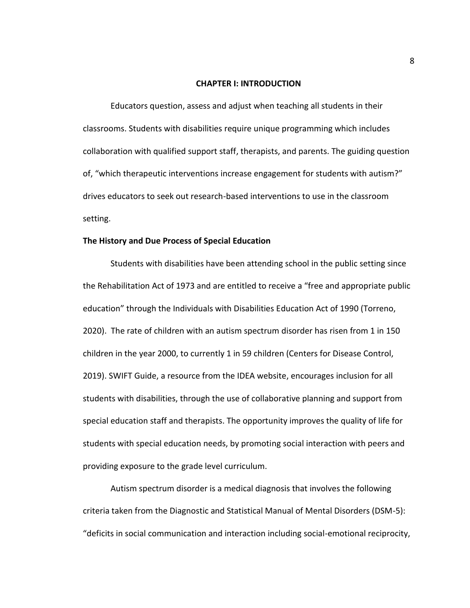#### **CHAPTER I: INTRODUCTION**

Educators question, assess and adjust when teaching all students in their classrooms. Students with disabilities require unique programming which includes collaboration with qualified support staff, therapists, and parents. The guiding question of, "which therapeutic interventions increase engagement for students with autism?" drives educators to seek out research-based interventions to use in the classroom setting.

## **The History and Due Process of Special Education**

Students with disabilities have been attending school in the public setting since the Rehabilitation Act of 1973 and are entitled to receive a "free and appropriate public education" through the Individuals with Disabilities Education Act of 1990 (Torreno, 2020). The rate of children with an autism spectrum disorder has risen from 1 in 150 children in the year 2000, to currently 1 in 59 children (Centers for Disease Control, 2019). SWIFT Guide, a resource from the IDEA website, encourages inclusion for all students with disabilities, through the use of collaborative planning and support from special education staff and therapists. The opportunity improves the quality of life for students with special education needs, by promoting social interaction with peers and providing exposure to the grade level curriculum.

Autism spectrum disorder is a medical diagnosis that involves the following criteria taken from the Diagnostic and Statistical Manual of Mental Disorders (DSM-5): "deficits in social communication and interaction including social-emotional reciprocity,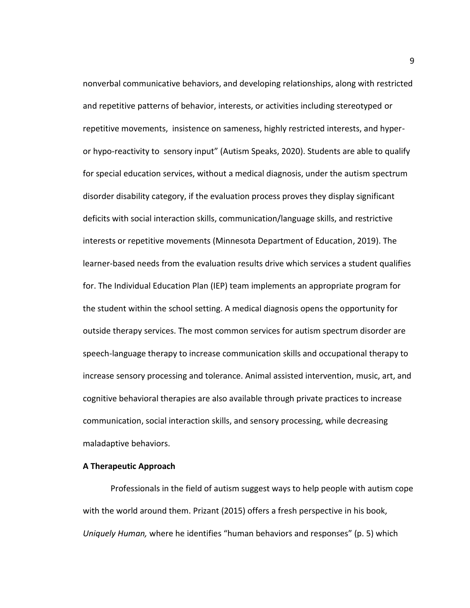nonverbal communicative behaviors, and developing relationships, along with restricted and repetitive patterns of behavior, interests, or activities including stereotyped or repetitive movements, insistence on sameness, highly restricted interests, and hyperor hypo-reactivity to sensory input" (Autism Speaks, 2020). Students are able to qualify for special education services, without a medical diagnosis, under the autism spectrum disorder disability category, if the evaluation process proves they display significant deficits with social interaction skills, communication/language skills, and restrictive interests or repetitive movements (Minnesota Department of Education, 2019). The learner-based needs from the evaluation results drive which services a student qualifies for. The Individual Education Plan (IEP) team implements an appropriate program for the student within the school setting. A medical diagnosis opens the opportunity for outside therapy services. The most common services for autism spectrum disorder are speech-language therapy to increase communication skills and occupational therapy to increase sensory processing and tolerance. Animal assisted intervention, music, art, and cognitive behavioral therapies are also available through private practices to increase communication, social interaction skills, and sensory processing, while decreasing maladaptive behaviors.

## **A Therapeutic Approach**

Professionals in the field of autism suggest ways to help people with autism cope with the world around them. Prizant (2015) offers a fresh perspective in his book, *Uniquely Human,* where he identifies "human behaviors and responses" (p. 5) which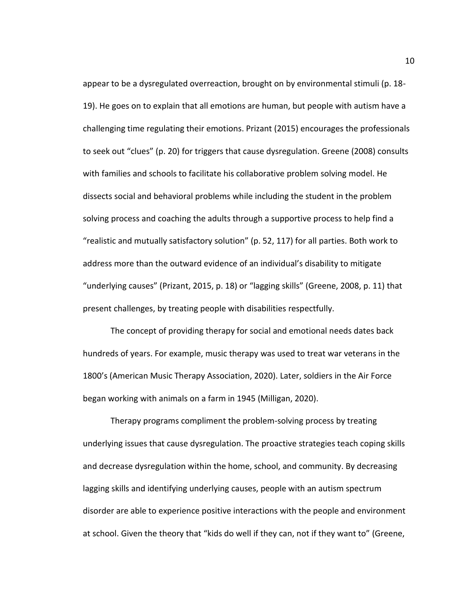appear to be a dysregulated overreaction, brought on by environmental stimuli (p. 18- 19). He goes on to explain that all emotions are human, but people with autism have a challenging time regulating their emotions. Prizant (2015) encourages the professionals to seek out "clues" (p. 20) for triggers that cause dysregulation. Greene (2008) consults with families and schools to facilitate his collaborative problem solving model. He dissects social and behavioral problems while including the student in the problem solving process and coaching the adults through a supportive process to help find a "realistic and mutually satisfactory solution" (p. 52, 117) for all parties. Both work to address more than the outward evidence of an individual's disability to mitigate "underlying causes" (Prizant, 2015, p. 18) or "lagging skills" (Greene, 2008, p. 11) that present challenges, by treating people with disabilities respectfully.

The concept of providing therapy for social and emotional needs dates back hundreds of years. For example, music therapy was used to treat war veterans in the 1800's (American Music Therapy Association, 2020). Later, soldiers in the Air Force began working with animals on a farm in 1945 (Milligan, 2020).

Therapy programs compliment the problem-solving process by treating underlying issues that cause dysregulation. The proactive strategies teach coping skills and decrease dysregulation within the home, school, and community. By decreasing lagging skills and identifying underlying causes, people with an autism spectrum disorder are able to experience positive interactions with the people and environment at school. Given the theory that "kids do well if they can, not if they want to" (Greene,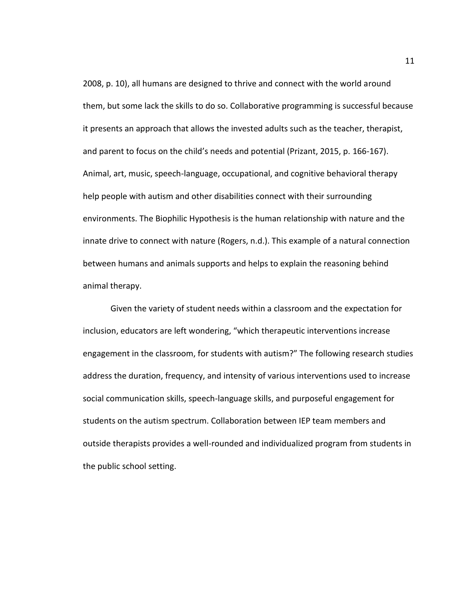2008, p. 10), all humans are designed to thrive and connect with the world around them, but some lack the skills to do so. Collaborative programming is successful because it presents an approach that allows the invested adults such as the teacher, therapist, and parent to focus on the child's needs and potential (Prizant, 2015, p. 166-167). Animal, art, music, speech-language, occupational, and cognitive behavioral therapy help people with autism and other disabilities connect with their surrounding environments. The Biophilic Hypothesis is the human relationship with nature and the innate drive to connect with nature (Rogers, n.d.). This example of a natural connection between humans and animals supports and helps to explain the reasoning behind animal therapy.

Given the variety of student needs within a classroom and the expectation for inclusion, educators are left wondering, "which therapeutic interventions increase engagement in the classroom, for students with autism?" The following research studies address the duration, frequency, and intensity of various interventions used to increase social communication skills, speech-language skills, and purposeful engagement for students on the autism spectrum. Collaboration between IEP team members and outside therapists provides a well-rounded and individualized program from students in the public school setting.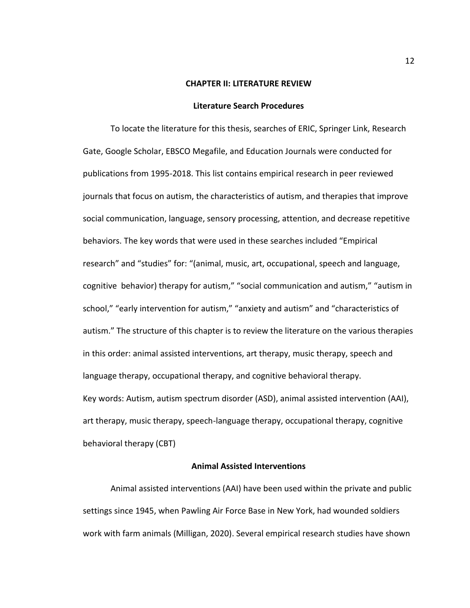#### **CHAPTER II: LITERATURE REVIEW**

#### **Literature Search Procedures**

To locate the literature for this thesis, searches of ERIC, Springer Link, Research Gate, Google Scholar, EBSCO Megafile, and Education Journals were conducted for publications from 1995-2018. This list contains empirical research in peer reviewed journals that focus on autism, the characteristics of autism, and therapies that improve social communication, language, sensory processing, attention, and decrease repetitive behaviors. The key words that were used in these searches included "Empirical research" and "studies" for: "(animal, music, art, occupational, speech and language, cognitive behavior) therapy for autism," "social communication and autism," "autism in school," "early intervention for autism," "anxiety and autism" and "characteristics of autism." The structure of this chapter is to review the literature on the various therapies in this order: animal assisted interventions, art therapy, music therapy, speech and language therapy, occupational therapy, and cognitive behavioral therapy. Key words: Autism, autism spectrum disorder (ASD), animal assisted intervention (AAI), art therapy, music therapy, speech-language therapy, occupational therapy, cognitive behavioral therapy (CBT)

# **Animal Assisted Interventions**

Animal assisted interventions (AAI) have been used within the private and public settings since 1945, when Pawling Air Force Base in New York, had wounded soldiers work with farm animals (Milligan, 2020). Several empirical research studies have shown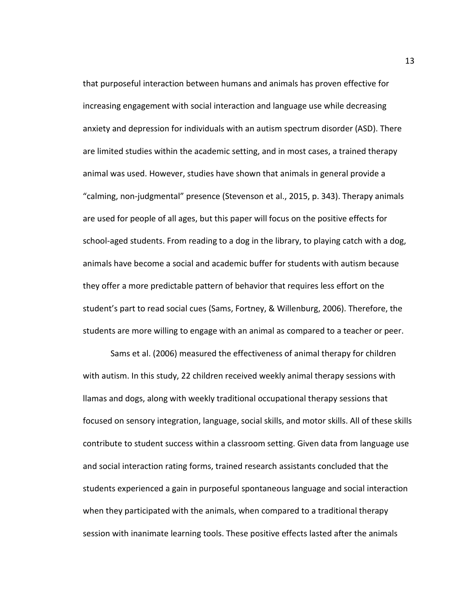that purposeful interaction between humans and animals has proven effective for increasing engagement with social interaction and language use while decreasing anxiety and depression for individuals with an autism spectrum disorder (ASD). There are limited studies within the academic setting, and in most cases, a trained therapy animal was used. However, studies have shown that animals in general provide a "calming, non-judgmental" presence (Stevenson et al., 2015, p. 343). Therapy animals are used for people of all ages, but this paper will focus on the positive effects for school-aged students. From reading to a dog in the library, to playing catch with a dog, animals have become a social and academic buffer for students with autism because they offer a more predictable pattern of behavior that requires less effort on the student's part to read social cues (Sams, Fortney, & Willenburg, 2006). Therefore, the students are more willing to engage with an animal as compared to a teacher or peer.

Sams et al. (2006) measured the effectiveness of animal therapy for children with autism. In this study, 22 children received weekly animal therapy sessions with llamas and dogs, along with weekly traditional occupational therapy sessions that focused on sensory integration, language, social skills, and motor skills. All of these skills contribute to student success within a classroom setting. Given data from language use and social interaction rating forms, trained research assistants concluded that the students experienced a gain in purposeful spontaneous language and social interaction when they participated with the animals, when compared to a traditional therapy session with inanimate learning tools. These positive effects lasted after the animals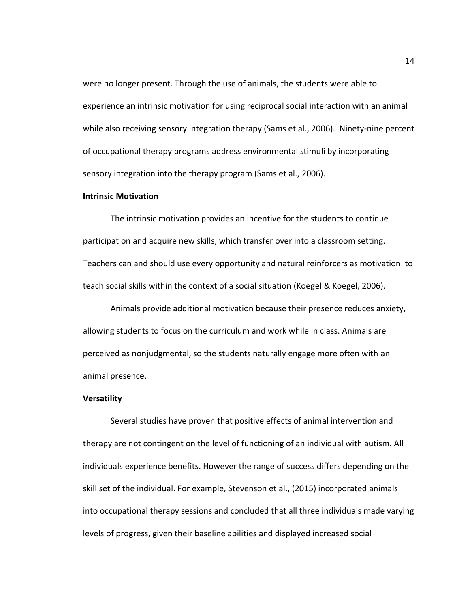were no longer present. Through the use of animals, the students were able to experience an intrinsic motivation for using reciprocal social interaction with an animal while also receiving sensory integration therapy (Sams et al., 2006). Ninety-nine percent of occupational therapy programs address environmental stimuli by incorporating sensory integration into the therapy program (Sams et al., 2006).

#### **Intrinsic Motivation**

The intrinsic motivation provides an incentive for the students to continue participation and acquire new skills, which transfer over into a classroom setting. Teachers can and should use every opportunity and natural reinforcers as motivation to teach social skills within the context of a social situation (Koegel & Koegel, 2006).

Animals provide additional motivation because their presence reduces anxiety, allowing students to focus on the curriculum and work while in class. Animals are perceived as nonjudgmental, so the students naturally engage more often with an animal presence.

#### **Versatility**

Several studies have proven that positive effects of animal intervention and therapy are not contingent on the level of functioning of an individual with autism. All individuals experience benefits. However the range of success differs depending on the skill set of the individual. For example, Stevenson et al., (2015) incorporated animals into occupational therapy sessions and concluded that all three individuals made varying levels of progress, given their baseline abilities and displayed increased social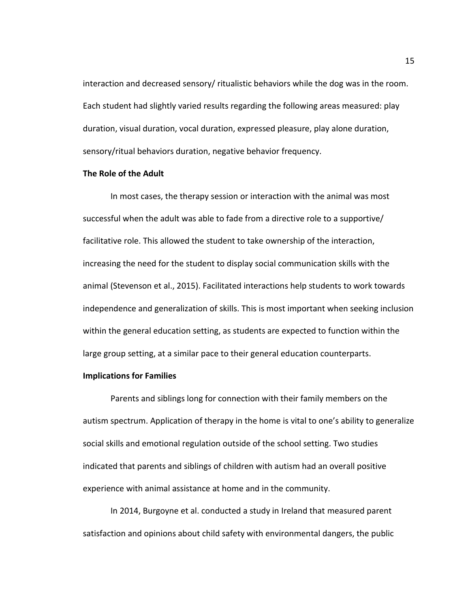interaction and decreased sensory/ ritualistic behaviors while the dog was in the room. Each student had slightly varied results regarding the following areas measured: play duration, visual duration, vocal duration, expressed pleasure, play alone duration, sensory/ritual behaviors duration, negative behavior frequency.

## **The Role of the Adult**

In most cases, the therapy session or interaction with the animal was most successful when the adult was able to fade from a directive role to a supportive/ facilitative role. This allowed the student to take ownership of the interaction, increasing the need for the student to display social communication skills with the animal (Stevenson et al., 2015). Facilitated interactions help students to work towards independence and generalization of skills. This is most important when seeking inclusion within the general education setting, as students are expected to function within the large group setting, at a similar pace to their general education counterparts.

## **Implications for Families**

Parents and siblings long for connection with their family members on the autism spectrum. Application of therapy in the home is vital to one's ability to generalize social skills and emotional regulation outside of the school setting. Two studies indicated that parents and siblings of children with autism had an overall positive experience with animal assistance at home and in the community.

In 2014, Burgoyne et al. conducted a study in Ireland that measured parent satisfaction and opinions about child safety with environmental dangers, the public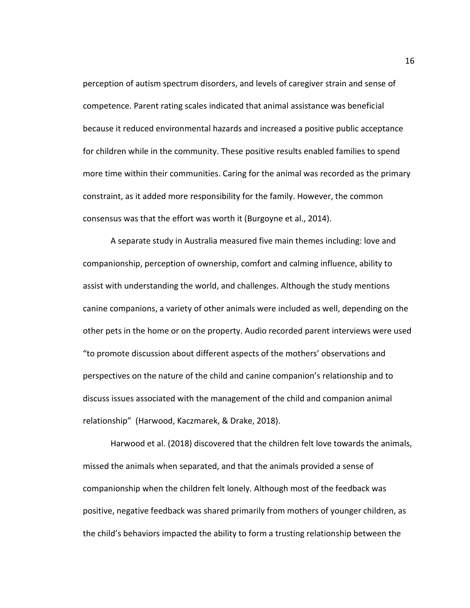perception of autism spectrum disorders, and levels of caregiver strain and sense of competence. Parent rating scales indicated that animal assistance was beneficial because it reduced environmental hazards and increased a positive public acceptance for children while in the community. These positive results enabled families to spend more time within their communities. Caring for the animal was recorded as the primary constraint, as it added more responsibility for the family. However, the common consensus was that the effort was worth it (Burgoyne et al., 2014).

A separate study in Australia measured five main themes including: love and companionship, perception of ownership, comfort and calming influence, ability to assist with understanding the world, and challenges. Although the study mentions canine companions, a variety of other animals were included as well, depending on the other pets in the home or on the property. Audio recorded parent interviews were used "to promote discussion about different aspects of the mothers' observations and perspectives on the nature of the child and canine companion's relationship and to discuss issues associated with the management of the child and companion animal relationship" (Harwood, Kaczmarek, & Drake, 2018).

Harwood et al. (2018) discovered that the children felt love towards the animals, missed the animals when separated, and that the animals provided a sense of companionship when the children felt lonely. Although most of the feedback was positive, negative feedback was shared primarily from mothers of younger children, as the child's behaviors impacted the ability to form a trusting relationship between the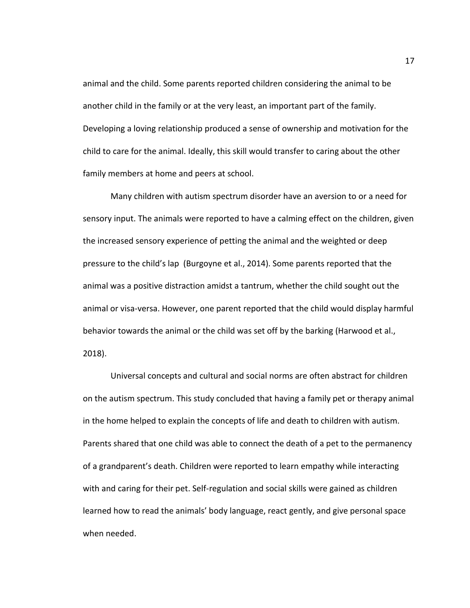animal and the child. Some parents reported children considering the animal to be another child in the family or at the very least, an important part of the family. Developing a loving relationship produced a sense of ownership and motivation for the child to care for the animal. Ideally, this skill would transfer to caring about the other family members at home and peers at school.

Many children with autism spectrum disorder have an aversion to or a need for sensory input. The animals were reported to have a calming effect on the children, given the increased sensory experience of petting the animal and the weighted or deep pressure to the child's lap (Burgoyne et al., 2014). Some parents reported that the animal was a positive distraction amidst a tantrum, whether the child sought out the animal or visa-versa. However, one parent reported that the child would display harmful behavior towards the animal or the child was set off by the barking (Harwood et al., 2018).

Universal concepts and cultural and social norms are often abstract for children on the autism spectrum. This study concluded that having a family pet or therapy animal in the home helped to explain the concepts of life and death to children with autism. Parents shared that one child was able to connect the death of a pet to the permanency of a grandparent's death. Children were reported to learn empathy while interacting with and caring for their pet. Self-regulation and social skills were gained as children learned how to read the animals' body language, react gently, and give personal space when needed.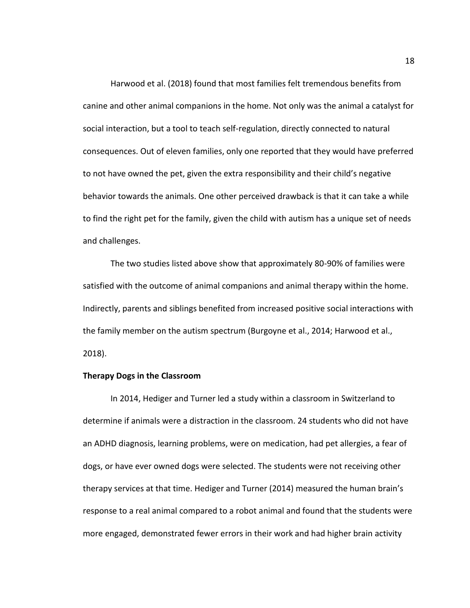Harwood et al. (2018) found that most families felt tremendous benefits from canine and other animal companions in the home. Not only was the animal a catalyst for social interaction, but a tool to teach self-regulation, directly connected to natural consequences. Out of eleven families, only one reported that they would have preferred to not have owned the pet, given the extra responsibility and their child's negative behavior towards the animals. One other perceived drawback is that it can take a while to find the right pet for the family, given the child with autism has a unique set of needs and challenges.

The two studies listed above show that approximately 80-90% of families were satisfied with the outcome of animal companions and animal therapy within the home. Indirectly, parents and siblings benefited from increased positive social interactions with the family member on the autism spectrum (Burgoyne et al., 2014; Harwood et al., 2018).

# **Therapy Dogs in the Classroom**

In 2014, Hediger and Turner led a study within a classroom in Switzerland to determine if animals were a distraction in the classroom. 24 students who did not have an ADHD diagnosis, learning problems, were on medication, had pet allergies, a fear of dogs, or have ever owned dogs were selected. The students were not receiving other therapy services at that time. Hediger and Turner (2014) measured the human brain's response to a real animal compared to a robot animal and found that the students were more engaged, demonstrated fewer errors in their work and had higher brain activity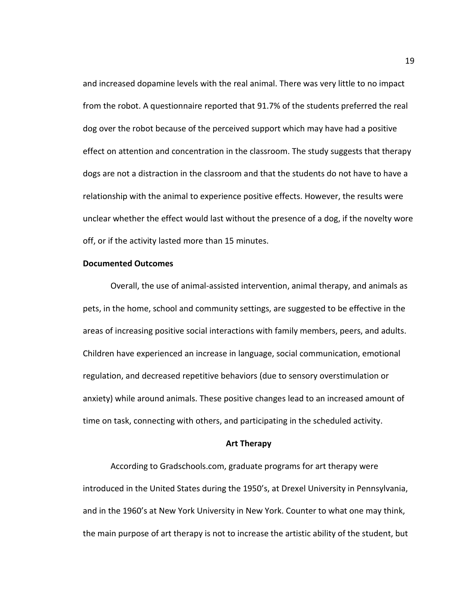and increased dopamine levels with the real animal. There was very little to no impact from the robot. A questionnaire reported that 91.7% of the students preferred the real dog over the robot because of the perceived support which may have had a positive effect on attention and concentration in the classroom. The study suggests that therapy dogs are not a distraction in the classroom and that the students do not have to have a relationship with the animal to experience positive effects. However, the results were unclear whether the effect would last without the presence of a dog, if the novelty wore off, or if the activity lasted more than 15 minutes.

# **Documented Outcomes**

Overall, the use of animal-assisted intervention, animal therapy, and animals as pets, in the home, school and community settings, are suggested to be effective in the areas of increasing positive social interactions with family members, peers, and adults. Children have experienced an increase in language, social communication, emotional regulation, and decreased repetitive behaviors (due to sensory overstimulation or anxiety) while around animals. These positive changes lead to an increased amount of time on task, connecting with others, and participating in the scheduled activity.

## **Art Therapy**

According to Gradschools.com, graduate programs for art therapy were introduced in the United States during the 1950's, at Drexel University in Pennsylvania, and in the 1960's at New York University in New York. Counter to what one may think, the main purpose of art therapy is not to increase the artistic ability of the student, but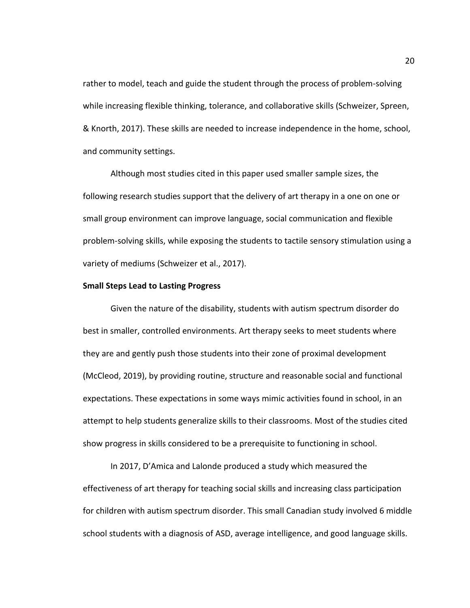rather to model, teach and guide the student through the process of problem-solving while increasing flexible thinking, tolerance, and collaborative skills (Schweizer, Spreen, & Knorth, 2017). These skills are needed to increase independence in the home, school, and community settings.

Although most studies cited in this paper used smaller sample sizes, the following research studies support that the delivery of art therapy in a one on one or small group environment can improve language, social communication and flexible problem-solving skills, while exposing the students to tactile sensory stimulation using a variety of mediums (Schweizer et al., 2017).

#### **Small Steps Lead to Lasting Progress**

Given the nature of the disability, students with autism spectrum disorder do best in smaller, controlled environments. Art therapy seeks to meet students where they are and gently push those students into their zone of proximal development (McCleod, 2019), by providing routine, structure and reasonable social and functional expectations. These expectations in some ways mimic activities found in school, in an attempt to help students generalize skills to their classrooms. Most of the studies cited show progress in skills considered to be a prerequisite to functioning in school.

In 2017, D'Amica and Lalonde produced a study which measured the effectiveness of art therapy for teaching social skills and increasing class participation for children with autism spectrum disorder. This small Canadian study involved 6 middle school students with a diagnosis of ASD, average intelligence, and good language skills.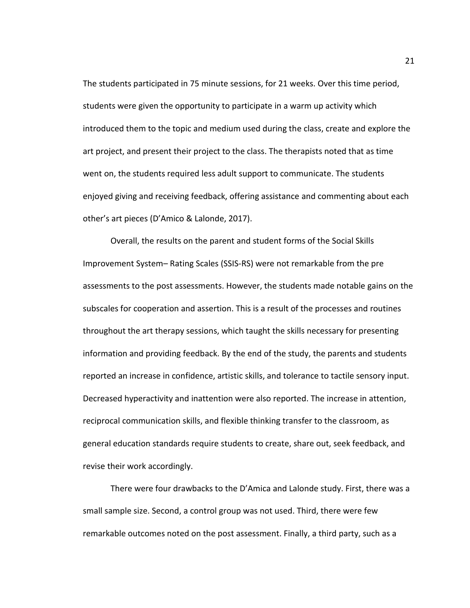The students participated in 75 minute sessions, for 21 weeks. Over this time period, students were given the opportunity to participate in a warm up activity which introduced them to the topic and medium used during the class, create and explore the art project, and present their project to the class. The therapists noted that as time went on, the students required less adult support to communicate. The students enjoyed giving and receiving feedback, offering assistance and commenting about each other's art pieces (D'Amico & Lalonde, 2017).

Overall, the results on the parent and student forms of the Social Skills Improvement System– Rating Scales (SSIS-RS) were not remarkable from the pre assessments to the post assessments. However, the students made notable gains on the subscales for cooperation and assertion. This is a result of the processes and routines throughout the art therapy sessions, which taught the skills necessary for presenting information and providing feedback. By the end of the study, the parents and students reported an increase in confidence, artistic skills, and tolerance to tactile sensory input. Decreased hyperactivity and inattention were also reported. The increase in attention, reciprocal communication skills, and flexible thinking transfer to the classroom, as general education standards require students to create, share out, seek feedback, and revise their work accordingly.

There were four drawbacks to the D'Amica and Lalonde study. First, there was a small sample size. Second, a control group was not used. Third, there were few remarkable outcomes noted on the post assessment. Finally, a third party, such as a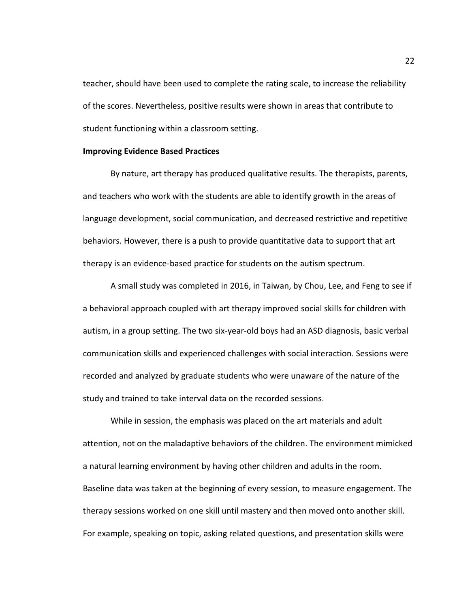teacher, should have been used to complete the rating scale, to increase the reliability of the scores. Nevertheless, positive results were shown in areas that contribute to student functioning within a classroom setting.

# **Improving Evidence Based Practices**

By nature, art therapy has produced qualitative results. The therapists, parents, and teachers who work with the students are able to identify growth in the areas of language development, social communication, and decreased restrictive and repetitive behaviors. However, there is a push to provide quantitative data to support that art therapy is an evidence-based practice for students on the autism spectrum.

A small study was completed in 2016, in Taiwan, by Chou, Lee, and Feng to see if a behavioral approach coupled with art therapy improved social skills for children with autism, in a group setting. The two six-year-old boys had an ASD diagnosis, basic verbal communication skills and experienced challenges with social interaction. Sessions were recorded and analyzed by graduate students who were unaware of the nature of the study and trained to take interval data on the recorded sessions.

While in session, the emphasis was placed on the art materials and adult attention, not on the maladaptive behaviors of the children. The environment mimicked a natural learning environment by having other children and adults in the room. Baseline data was taken at the beginning of every session, to measure engagement. The therapy sessions worked on one skill until mastery and then moved onto another skill. For example, speaking on topic, asking related questions, and presentation skills were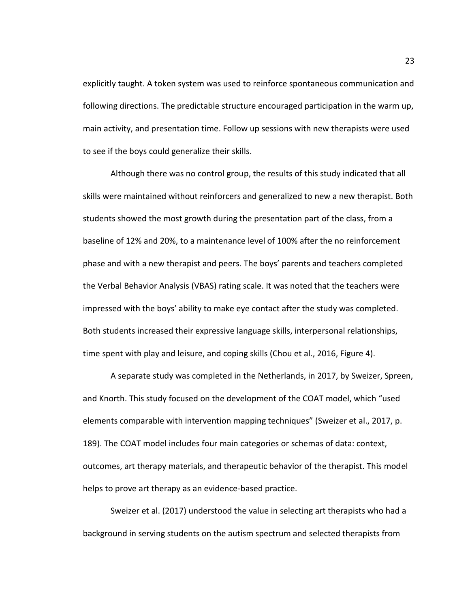explicitly taught. A token system was used to reinforce spontaneous communication and following directions. The predictable structure encouraged participation in the warm up, main activity, and presentation time. Follow up sessions with new therapists were used to see if the boys could generalize their skills.

Although there was no control group, the results of this study indicated that all skills were maintained without reinforcers and generalized to new a new therapist. Both students showed the most growth during the presentation part of the class, from a baseline of 12% and 20%, to a maintenance level of 100% after the no reinforcement phase and with a new therapist and peers. The boys' parents and teachers completed the Verbal Behavior Analysis (VBAS) rating scale. It was noted that the teachers were impressed with the boys' ability to make eye contact after the study was completed. Both students increased their expressive language skills, interpersonal relationships, time spent with play and leisure, and coping skills (Chou et al., 2016, Figure 4).

A separate study was completed in the Netherlands, in 2017, by Sweizer, Spreen, and Knorth. This study focused on the development of the COAT model, which "used elements comparable with intervention mapping techniques" (Sweizer et al., 2017, p. 189). The COAT model includes four main categories or schemas of data: context, outcomes, art therapy materials, and therapeutic behavior of the therapist. This model helps to prove art therapy as an evidence-based practice.

Sweizer et al. (2017) understood the value in selecting art therapists who had a background in serving students on the autism spectrum and selected therapists from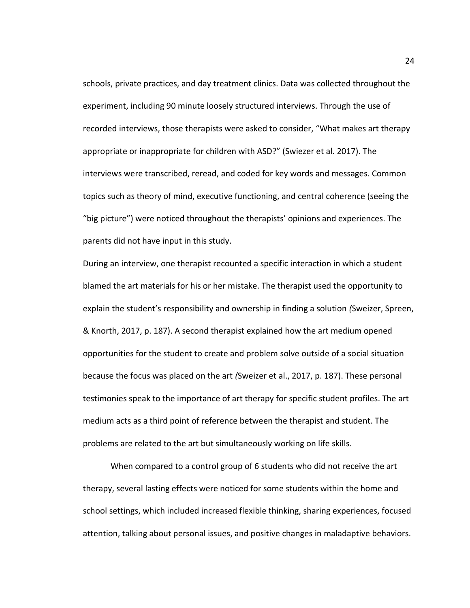schools, private practices, and day treatment clinics. Data was collected throughout the experiment, including 90 minute loosely structured interviews. Through the use of recorded interviews, those therapists were asked to consider, "What makes art therapy appropriate or inappropriate for children with ASD?" (Swiezer et al. 2017). The interviews were transcribed, reread, and coded for key words and messages. Common topics such as theory of mind, executive functioning, and central coherence (seeing the "big picture") were noticed throughout the therapists' opinions and experiences. The parents did not have input in this study.

During an interview, one therapist recounted a specific interaction in which a student blamed the art materials for his or her mistake. The therapist used the opportunity to explain the student's responsibility and ownership in finding a solution *(*Sweizer, Spreen, & Knorth, 2017, p. 187). A second therapist explained how the art medium opened opportunities for the student to create and problem solve outside of a social situation because the focus was placed on the art *(*Sweizer et al., 2017, p. 187). These personal testimonies speak to the importance of art therapy for specific student profiles. The art medium acts as a third point of reference between the therapist and student. The problems are related to the art but simultaneously working on life skills.

When compared to a control group of 6 students who did not receive the art therapy, several lasting effects were noticed for some students within the home and school settings, which included increased flexible thinking, sharing experiences, focused attention, talking about personal issues, and positive changes in maladaptive behaviors.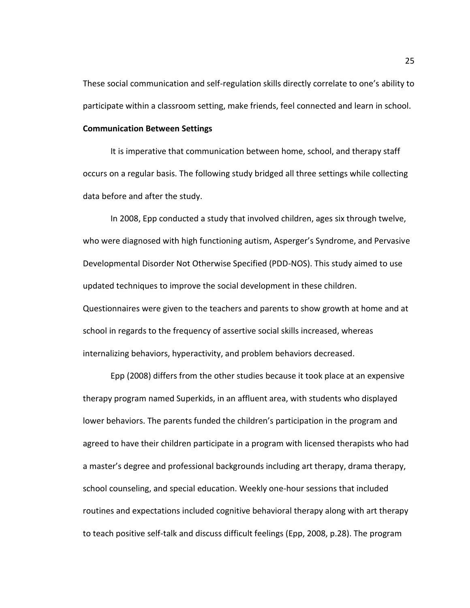These social communication and self-regulation skills directly correlate to one's ability to participate within a classroom setting, make friends, feel connected and learn in school.

#### **Communication Between Settings**

It is imperative that communication between home, school, and therapy staff occurs on a regular basis. The following study bridged all three settings while collecting data before and after the study.

In 2008, Epp conducted a study that involved children, ages six through twelve, who were diagnosed with high functioning autism, Asperger's Syndrome, and Pervasive Developmental Disorder Not Otherwise Specified (PDD-NOS). This study aimed to use updated techniques to improve the social development in these children. Questionnaires were given to the teachers and parents to show growth at home and at school in regards to the frequency of assertive social skills increased, whereas internalizing behaviors, hyperactivity, and problem behaviors decreased.

Epp (2008) differs from the other studies because it took place at an expensive therapy program named Superkids, in an affluent area, with students who displayed lower behaviors. The parents funded the children's participation in the program and agreed to have their children participate in a program with licensed therapists who had a master's degree and professional backgrounds including art therapy, drama therapy, school counseling, and special education. Weekly one-hour sessions that included routines and expectations included cognitive behavioral therapy along with art therapy to teach positive self-talk and discuss difficult feelings (Epp, 2008, p.28). The program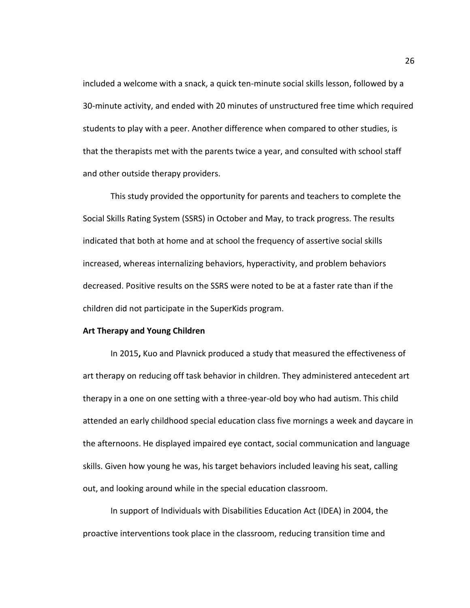included a welcome with a snack, a quick ten-minute social skills lesson, followed by a 30-minute activity, and ended with 20 minutes of unstructured free time which required students to play with a peer. Another difference when compared to other studies, is that the therapists met with the parents twice a year, and consulted with school staff and other outside therapy providers.

This study provided the opportunity for parents and teachers to complete the Social Skills Rating System (SSRS) in October and May, to track progress. The results indicated that both at home and at school the frequency of assertive social skills increased, whereas internalizing behaviors, hyperactivity, and problem behaviors decreased. Positive results on the SSRS were noted to be at a faster rate than if the children did not participate in the SuperKids program.

# **Art Therapy and Young Children**

In 2015**,** Kuo and Plavnick produced a study that measured the effectiveness of art therapy on reducing off task behavior in children. They administered antecedent art therapy in a one on one setting with a three-year-old boy who had autism. This child attended an early childhood special education class five mornings a week and daycare in the afternoons. He displayed impaired eye contact, social communication and language skills. Given how young he was, his target behaviors included leaving his seat, calling out, and looking around while in the special education classroom.

In support of Individuals with Disabilities Education Act (IDEA) in 2004, the proactive interventions took place in the classroom, reducing transition time and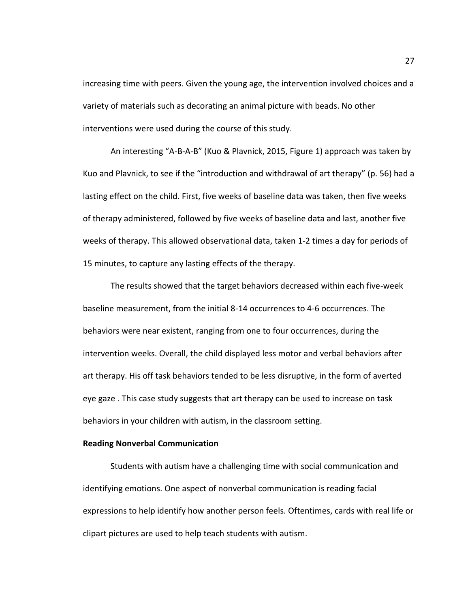increasing time with peers. Given the young age, the intervention involved choices and a variety of materials such as decorating an animal picture with beads. No other interventions were used during the course of this study.

An interesting "A-B-A-B" (Kuo & Plavnick, 2015, Figure 1) approach was taken by Kuo and Plavnick, to see if the "introduction and withdrawal of art therapy" (p. 56) had a lasting effect on the child. First, five weeks of baseline data was taken, then five weeks of therapy administered, followed by five weeks of baseline data and last, another five weeks of therapy. This allowed observational data, taken 1-2 times a day for periods of 15 minutes, to capture any lasting effects of the therapy.

The results showed that the target behaviors decreased within each five-week baseline measurement, from the initial 8-14 occurrences to 4-6 occurrences. The behaviors were near existent, ranging from one to four occurrences, during the intervention weeks. Overall, the child displayed less motor and verbal behaviors after art therapy. His off task behaviors tended to be less disruptive, in the form of averted eye gaze . This case study suggests that art therapy can be used to increase on task behaviors in your children with autism, in the classroom setting.

# **Reading Nonverbal Communication**

Students with autism have a challenging time with social communication and identifying emotions. One aspect of nonverbal communication is reading facial expressions to help identify how another person feels. Oftentimes, cards with real life or clipart pictures are used to help teach students with autism.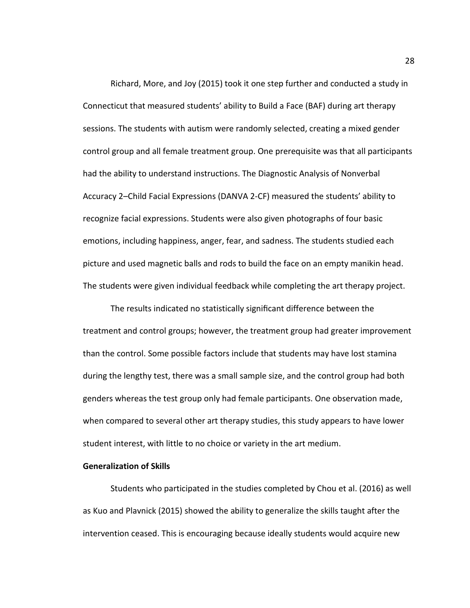Richard, More, and Joy (2015) took it one step further and conducted a study in Connecticut that measured students' ability to Build a Face (BAF) during art therapy sessions. The students with autism were randomly selected, creating a mixed gender control group and all female treatment group. One prerequisite was that all participants had the ability to understand instructions. The Diagnostic Analysis of Nonverbal Accuracy 2–Child Facial Expressions (DANVA 2-CF) measured the students' ability to recognize facial expressions. Students were also given photographs of four basic emotions, including happiness, anger, fear, and sadness. The students studied each picture and used magnetic balls and rods to build the face on an empty manikin head. The students were given individual feedback while completing the art therapy project.

The results indicated no statistically significant difference between the treatment and control groups; however, the treatment group had greater improvement than the control. Some possible factors include that students may have lost stamina during the lengthy test, there was a small sample size, and the control group had both genders whereas the test group only had female participants. One observation made, when compared to several other art therapy studies, this study appears to have lower student interest, with little to no choice or variety in the art medium.

## **Generalization of Skills**

Students who participated in the studies completed by Chou et al. (2016) as well as Kuo and Plavnick (2015) showed the ability to generalize the skills taught after the intervention ceased. This is encouraging because ideally students would acquire new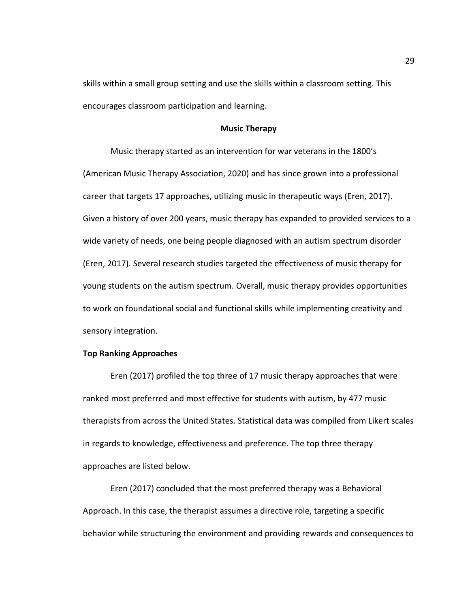skills within a small group setting and use the skills within a classroom setting. This encourages classroom participation and learning.

## **Music Therapy**

Music therapy started as an intervention for war veterans in the 1800's (American Music Therapy Association, 2020) and has since grown into a professional career that targets 17 approaches, utilizing music in therapeutic ways (Eren, 2017). Given a history of over 200 years, music therapy has expanded to provided services to a wide variety of needs, one being people diagnosed with an autism spectrum disorder (Eren, 2017). Several research studies targeted the effectiveness of music therapy for young students on the autism spectrum. Overall, music therapy provides opportunities to work on foundational social and functional skills while implementing creativity and sensory integration.

#### **Top Ranking Approaches**

Eren (2017) profiled the top three of 17 music therapy approaches that were ranked most preferred and most effective for students with autism, by 477 music therapists from across the United States. Statistical data was compiled from Likert scales in regards to knowledge, effectiveness and preference. The top three therapy approaches are listed below.

Eren (2017) concluded that the most preferred therapy was a Behavioral Approach. In this case, the therapist assumes a directive role, targeting a specific behavior while structuring the environment and providing rewards and consequences to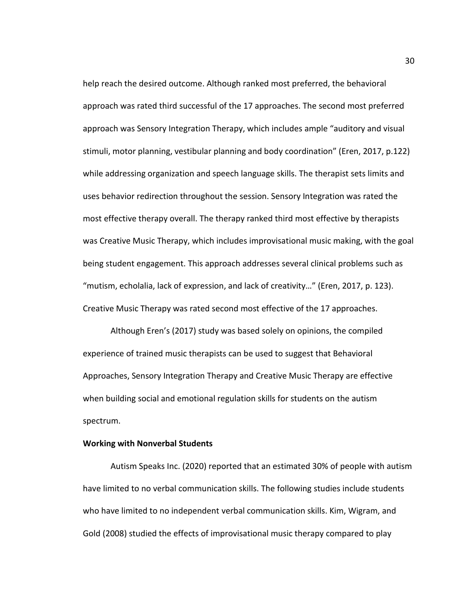help reach the desired outcome. Although ranked most preferred, the behavioral approach was rated third successful of the 17 approaches. The second most preferred approach was Sensory Integration Therapy, which includes ample "auditory and visual stimuli, motor planning, vestibular planning and body coordination" (Eren, 2017, p.122) while addressing organization and speech language skills. The therapist sets limits and uses behavior redirection throughout the session. Sensory Integration was rated the most effective therapy overall. The therapy ranked third most effective by therapists was Creative Music Therapy, which includes improvisational music making, with the goal being student engagement. This approach addresses several clinical problems such as "mutism, echolalia, lack of expression, and lack of creativity…" (Eren, 2017, p. 123). Creative Music Therapy was rated second most effective of the 17 approaches.

Although Eren's (2017) study was based solely on opinions, the compiled experience of trained music therapists can be used to suggest that Behavioral Approaches, Sensory Integration Therapy and Creative Music Therapy are effective when building social and emotional regulation skills for students on the autism spectrum.

## **Working with Nonverbal Students**

Autism Speaks Inc. (2020) reported that an estimated 30% of people with autism have limited to no verbal communication skills. The following studies include students who have limited to no independent verbal communication skills. Kim, Wigram, and Gold (2008) studied the effects of improvisational music therapy compared to play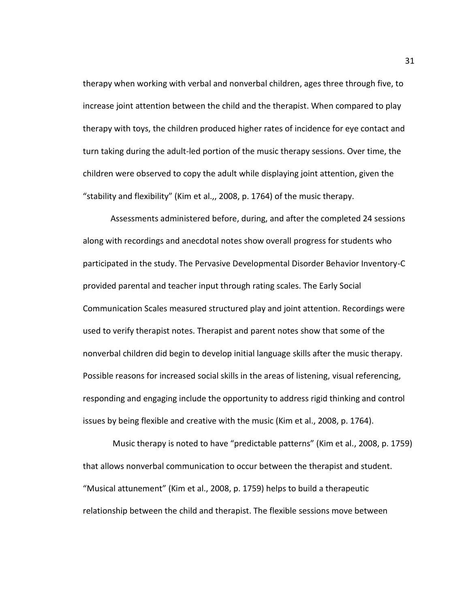therapy when working with verbal and nonverbal children, ages three through five, to increase joint attention between the child and the therapist. When compared to play therapy with toys, the children produced higher rates of incidence for eye contact and turn taking during the adult-led portion of the music therapy sessions. Over time, the children were observed to copy the adult while displaying joint attention, given the "stability and flexibility" (Kim et al.,, 2008, p. 1764) of the music therapy.

Assessments administered before, during, and after the completed 24 sessions along with recordings and anecdotal notes show overall progress for students who participated in the study. The Pervasive Developmental Disorder Behavior Inventory-C provided parental and teacher input through rating scales. The Early Social Communication Scales measured structured play and joint attention. Recordings were used to verify therapist notes. Therapist and parent notes show that some of the nonverbal children did begin to develop initial language skills after the music therapy. Possible reasons for increased social skills in the areas of listening, visual referencing, responding and engaging include the opportunity to address rigid thinking and control issues by being flexible and creative with the music (Kim et al., 2008, p. 1764).

Music therapy is noted to have "predictable patterns" (Kim et al., 2008, p. 1759) that allows nonverbal communication to occur between the therapist and student. "Musical attunement" (Kim et al., 2008, p. 1759) helps to build a therapeutic relationship between the child and therapist. The flexible sessions move between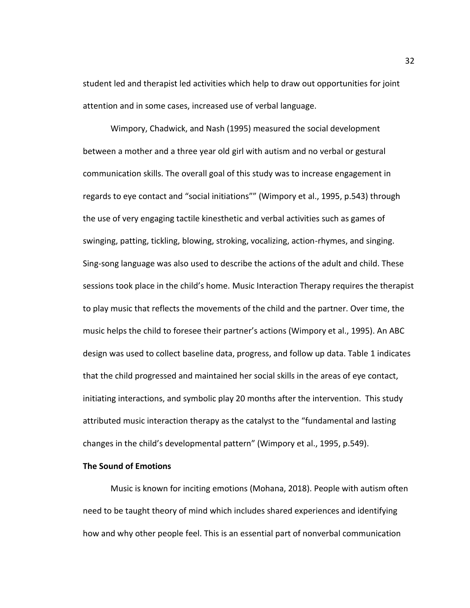student led and therapist led activities which help to draw out opportunities for joint attention and in some cases, increased use of verbal language.

Wimpory, Chadwick, and Nash (1995) measured the social development between a mother and a three year old girl with autism and no verbal or gestural communication skills. The overall goal of this study was to increase engagement in regards to eye contact and "social initiations"" (Wimpory et al., 1995, p.543) through the use of very engaging tactile kinesthetic and verbal activities such as games of swinging, patting, tickling, blowing, stroking, vocalizing, action-rhymes, and singing. Sing-song language was also used to describe the actions of the adult and child. These sessions took place in the child's home. Music Interaction Therapy requires the therapist to play music that reflects the movements of the child and the partner. Over time, the music helps the child to foresee their partner's actions (Wimpory et al., 1995). An ABC design was used to collect baseline data, progress, and follow up data. Table 1 indicates that the child progressed and maintained her social skills in the areas of eye contact, initiating interactions, and symbolic play 20 months after the intervention. This study attributed music interaction therapy as the catalyst to the "fundamental and lasting changes in the child's developmental pattern" (Wimpory et al., 1995, p.549).

## **The Sound of Emotions**

Music is known for inciting emotions (Mohana, 2018). People with autism often need to be taught theory of mind which includes shared experiences and identifying how and why other people feel. This is an essential part of nonverbal communication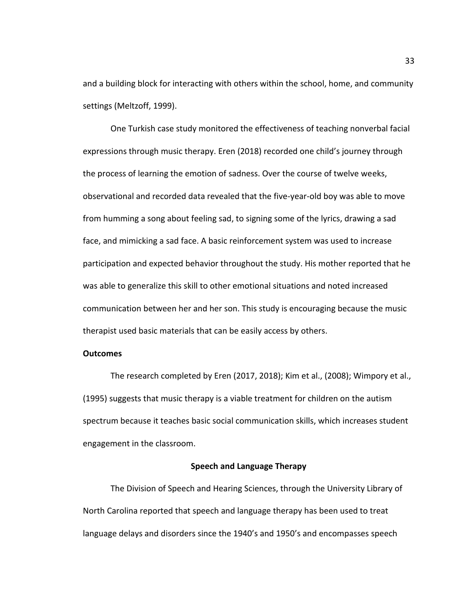and a building block for interacting with others within the school, home, and community settings (Meltzoff, 1999).

One Turkish case study monitored the effectiveness of teaching nonverbal facial expressions through music therapy. Eren (2018) recorded one child's journey through the process of learning the emotion of sadness. Over the course of twelve weeks, observational and recorded data revealed that the five-year-old boy was able to move from humming a song about feeling sad, to signing some of the lyrics, drawing a sad face, and mimicking a sad face. A basic reinforcement system was used to increase participation and expected behavior throughout the study. His mother reported that he was able to generalize this skill to other emotional situations and noted increased communication between her and her son. This study is encouraging because the music therapist used basic materials that can be easily access by others.

#### **Outcomes**

The research completed by Eren (2017, 2018); Kim et al., (2008); Wimpory et al., (1995) suggests that music therapy is a viable treatment for children on the autism spectrum because it teaches basic social communication skills, which increases student engagement in the classroom.

## **Speech and Language Therapy**

The Division of Speech and Hearing Sciences, through the University Library of North Carolina reported that speech and language therapy has been used to treat language delays and disorders since the 1940's and 1950's and encompasses speech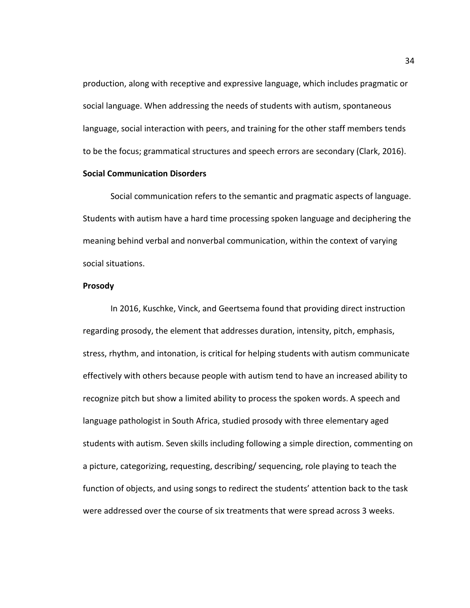production, along with receptive and expressive language, which includes pragmatic or social language. When addressing the needs of students with autism, spontaneous language, social interaction with peers, and training for the other staff members tends to be the focus; grammatical structures and speech errors are secondary (Clark, 2016).

# **Social Communication Disorders**

Social communication refers to the semantic and pragmatic aspects of language. Students with autism have a hard time processing spoken language and deciphering the meaning behind verbal and nonverbal communication, within the context of varying social situations.

## **Prosody**

In 2016, Kuschke, Vinck, and Geertsema found that providing direct instruction regarding prosody, the element that addresses duration, intensity, pitch, emphasis, stress, rhythm, and intonation, is critical for helping students with autism communicate effectively with others because people with autism tend to have an increased ability to recognize pitch but show a limited ability to process the spoken words. A speech and language pathologist in South Africa, studied prosody with three elementary aged students with autism. Seven skills including following a simple direction, commenting on a picture, categorizing, requesting, describing/ sequencing, role playing to teach the function of objects, and using songs to redirect the students' attention back to the task were addressed over the course of six treatments that were spread across 3 weeks.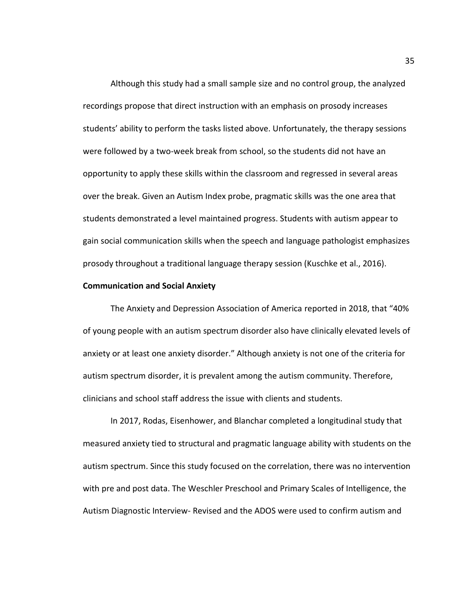Although this study had a small sample size and no control group, the analyzed recordings propose that direct instruction with an emphasis on prosody increases students' ability to perform the tasks listed above. Unfortunately, the therapy sessions were followed by a two-week break from school, so the students did not have an opportunity to apply these skills within the classroom and regressed in several areas over the break. Given an Autism Index probe, pragmatic skills was the one area that students demonstrated a level maintained progress. Students with autism appear to gain social communication skills when the speech and language pathologist emphasizes prosody throughout a traditional language therapy session (Kuschke et al., 2016).

#### **Communication and Social Anxiety**

The Anxiety and Depression Association of America reported in 2018, that "40% of young people with an autism spectrum disorder also have clinically elevated levels of anxiety or at least one anxiety disorder." Although anxiety is not one of the criteria for autism spectrum disorder, it is prevalent among the autism community. Therefore, clinicians and school staff address the issue with clients and students.

In 2017, Rodas, Eisenhower, and Blanchar completed a longitudinal study that measured anxiety tied to structural and pragmatic language ability with students on the autism spectrum. Since this study focused on the correlation, there was no intervention with pre and post data. The Weschler Preschool and Primary Scales of Intelligence, the Autism Diagnostic Interview- Revised and the ADOS were used to confirm autism and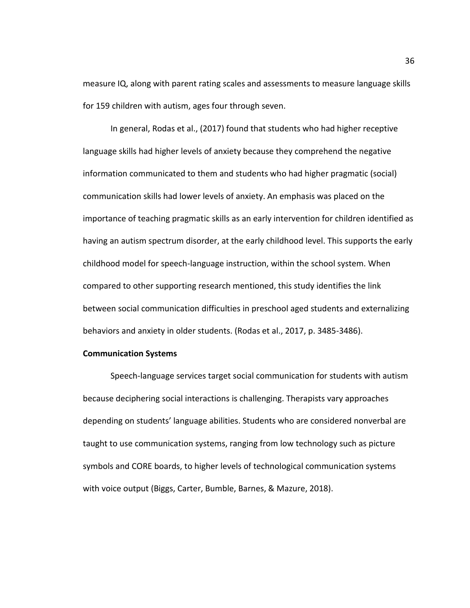measure IQ, along with parent rating scales and assessments to measure language skills for 159 children with autism, ages four through seven.

In general, Rodas et al., (2017) found that students who had higher receptive language skills had higher levels of anxiety because they comprehend the negative information communicated to them and students who had higher pragmatic (social) communication skills had lower levels of anxiety. An emphasis was placed on the importance of teaching pragmatic skills as an early intervention for children identified as having an autism spectrum disorder, at the early childhood level. This supports the early childhood model for speech-language instruction, within the school system. When compared to other supporting research mentioned, this study identifies the link between social communication difficulties in preschool aged students and externalizing behaviors and anxiety in older students. (Rodas et al., 2017, p. 3485-3486).

#### **Communication Systems**

Speech-language services target social communication for students with autism because deciphering social interactions is challenging. Therapists vary approaches depending on students' language abilities. Students who are considered nonverbal are taught to use communication systems, ranging from low technology such as picture symbols and CORE boards, to higher levels of technological communication systems with voice output (Biggs, Carter, Bumble, Barnes, & Mazure, 2018).

36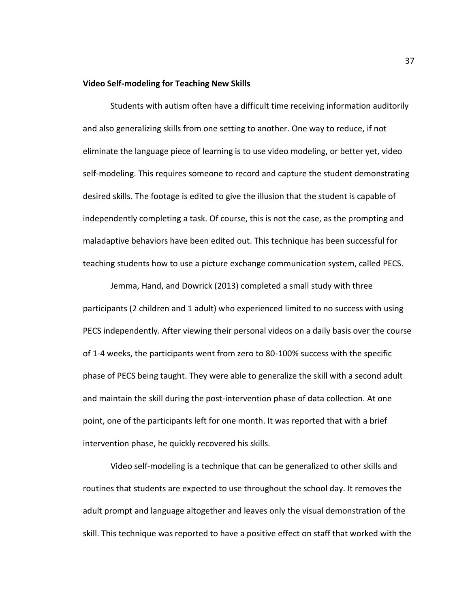#### **Video Self-modeling for Teaching New Skills**

Students with autism often have a difficult time receiving information auditorily and also generalizing skills from one setting to another. One way to reduce, if not eliminate the language piece of learning is to use video modeling, or better yet, video self-modeling. This requires someone to record and capture the student demonstrating desired skills. The footage is edited to give the illusion that the student is capable of independently completing a task. Of course, this is not the case, as the prompting and maladaptive behaviors have been edited out. This technique has been successful for teaching students how to use a picture exchange communication system, called PECS.

Jemma, Hand, and Dowrick (2013) completed a small study with three participants (2 children and 1 adult) who experienced limited to no success with using PECS independently. After viewing their personal videos on a daily basis over the course of 1-4 weeks, the participants went from zero to 80-100% success with the specific phase of PECS being taught. They were able to generalize the skill with a second adult and maintain the skill during the post-intervention phase of data collection. At one point, one of the participants left for one month. It was reported that with a brief intervention phase, he quickly recovered his skills.

Video self-modeling is a technique that can be generalized to other skills and routines that students are expected to use throughout the school day. It removes the adult prompt and language altogether and leaves only the visual demonstration of the skill. This technique was reported to have a positive effect on staff that worked with the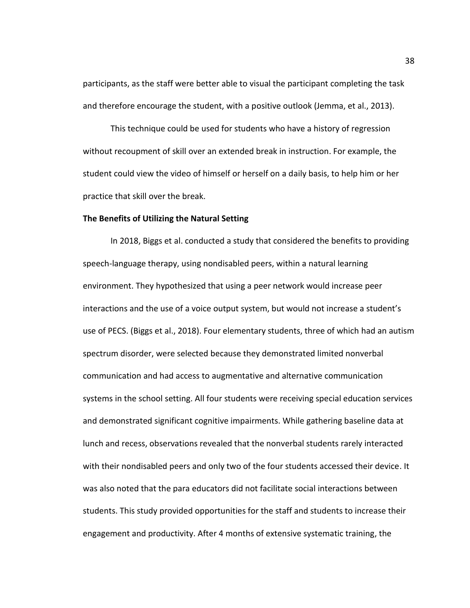participants, as the staff were better able to visual the participant completing the task and therefore encourage the student, with a positive outlook (Jemma, et al., 2013).

This technique could be used for students who have a history of regression without recoupment of skill over an extended break in instruction. For example, the student could view the video of himself or herself on a daily basis, to help him or her practice that skill over the break.

#### **The Benefits of Utilizing the Natural Setting**

In 2018, Biggs et al. conducted a study that considered the benefits to providing speech-language therapy, using nondisabled peers, within a natural learning environment. They hypothesized that using a peer network would increase peer interactions and the use of a voice output system, but would not increase a student's use of PECS. (Biggs et al., 2018). Four elementary students, three of which had an autism spectrum disorder, were selected because they demonstrated limited nonverbal communication and had access to augmentative and alternative communication systems in the school setting. All four students were receiving special education services and demonstrated significant cognitive impairments. While gathering baseline data at lunch and recess, observations revealed that the nonverbal students rarely interacted with their nondisabled peers and only two of the four students accessed their device. It was also noted that the para educators did not facilitate social interactions between students. This study provided opportunities for the staff and students to increase their engagement and productivity. After 4 months of extensive systematic training, the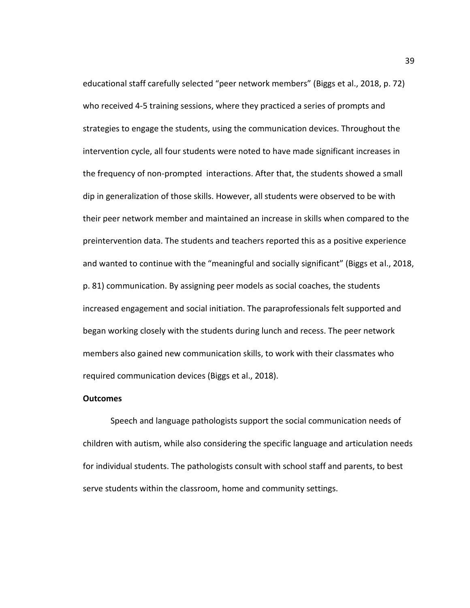educational staff carefully selected "peer network members" (Biggs et al., 2018, p. 72) who received 4-5 training sessions, where they practiced a series of prompts and strategies to engage the students, using the communication devices. Throughout the intervention cycle, all four students were noted to have made significant increases in the frequency of non-prompted interactions. After that, the students showed a small dip in generalization of those skills. However, all students were observed to be with their peer network member and maintained an increase in skills when compared to the preintervention data. The students and teachers reported this as a positive experience and wanted to continue with the "meaningful and socially significant" (Biggs et al., 2018, p. 81) communication. By assigning peer models as social coaches, the students increased engagement and social initiation. The paraprofessionals felt supported and began working closely with the students during lunch and recess. The peer network members also gained new communication skills, to work with their classmates who required communication devices (Biggs et al., 2018).

#### **Outcomes**

Speech and language pathologists support the social communication needs of children with autism, while also considering the specific language and articulation needs for individual students. The pathologists consult with school staff and parents, to best serve students within the classroom, home and community settings.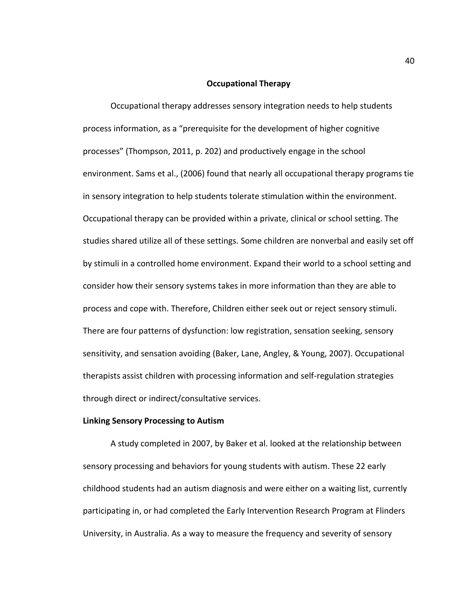#### **Occupational Therapy**

Occupational therapy addresses sensory integration needs to help students process information, as a "prerequisite for the development of higher cognitive processes" (Thompson, 2011, p. 202) and productively engage in the school environment. Sams et al., (2006) found that nearly all occupational therapy programs tie in sensory integration to help students tolerate stimulation within the environment. Occupational therapy can be provided within a private, clinical or school setting. The studies shared utilize all of these settings. Some children are nonverbal and easily set off by stimuli in a controlled home environment. Expand their world to a school setting and consider how their sensory systems takes in more information than they are able to process and cope with. Therefore, Children either seek out or reject sensory stimuli. There are four patterns of dysfunction: low registration, sensation seeking, sensory sensitivity, and sensation avoiding (Baker, Lane, Angley, & Young, 2007). Occupational therapists assist children with processing information and self-regulation strategies through direct or indirect/consultative services.

#### **Linking Sensory Processing to Autism**

A study completed in 2007, by Baker et al. looked at the relationship between sensory processing and behaviors for young students with autism. These 22 early childhood students had an autism diagnosis and were either on a waiting list, currently participating in, or had completed the Early Intervention Research Program at Flinders University, in Australia. As a way to measure the frequency and severity of sensory

40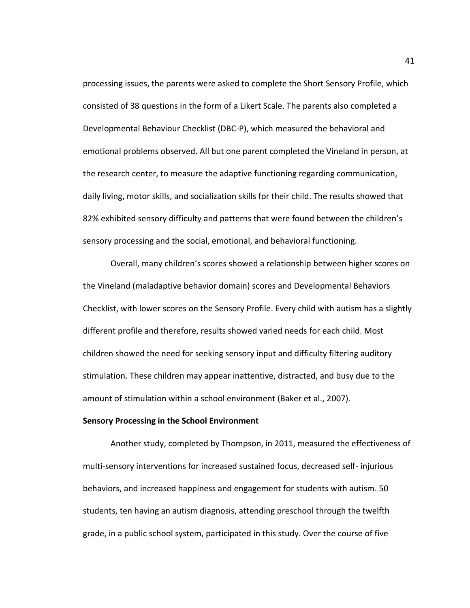processing issues, the parents were asked to complete the Short Sensory Profile, which consisted of 38 questions in the form of a Likert Scale. The parents also completed a Developmental Behaviour Checklist (DBC-P), which measured the behavioral and emotional problems observed. All but one parent completed the Vineland in person, at the research center, to measure the adaptive functioning regarding communication, daily living, motor skills, and socialization skills for their child. The results showed that 82% exhibited sensory difficulty and patterns that were found between the children's sensory processing and the social, emotional, and behavioral functioning.

Overall, many children's scores showed a relationship between higher scores on the Vineland (maladaptive behavior domain) scores and Developmental Behaviors Checklist, with lower scores on the Sensory Profile. Every child with autism has a slightly different profile and therefore, results showed varied needs for each child. Most children showed the need for seeking sensory input and difficulty filtering auditory stimulation. These children may appear inattentive, distracted, and busy due to the amount of stimulation within a school environment (Baker et al., 2007).

#### **Sensory Processing in the School Environment**

Another study, completed by Thompson, in 2011, measured the effectiveness of multi-sensory interventions for increased sustained focus, decreased self- injurious behaviors, and increased happiness and engagement for students with autism. 50 students, ten having an autism diagnosis, attending preschool through the twelfth grade, in a public school system, participated in this study. Over the course of five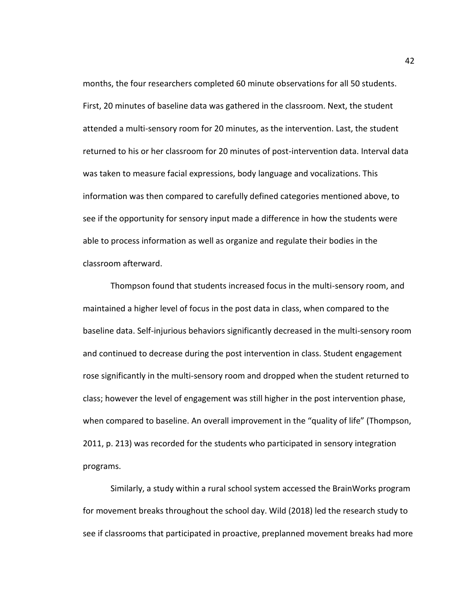months, the four researchers completed 60 minute observations for all 50 students. First, 20 minutes of baseline data was gathered in the classroom. Next, the student attended a multi-sensory room for 20 minutes, as the intervention. Last, the student returned to his or her classroom for 20 minutes of post-intervention data. Interval data was taken to measure facial expressions, body language and vocalizations. This information was then compared to carefully defined categories mentioned above, to see if the opportunity for sensory input made a difference in how the students were able to process information as well as organize and regulate their bodies in the classroom afterward.

Thompson found that students increased focus in the multi-sensory room, and maintained a higher level of focus in the post data in class, when compared to the baseline data. Self-injurious behaviors significantly decreased in the multi-sensory room and continued to decrease during the post intervention in class. Student engagement rose significantly in the multi-sensory room and dropped when the student returned to class; however the level of engagement was still higher in the post intervention phase, when compared to baseline. An overall improvement in the "quality of life" (Thompson, 2011, p. 213) was recorded for the students who participated in sensory integration programs.

Similarly, a study within a rural school system accessed the BrainWorks program for movement breaks throughout the school day. Wild (2018) led the research study to see if classrooms that participated in proactive, preplanned movement breaks had more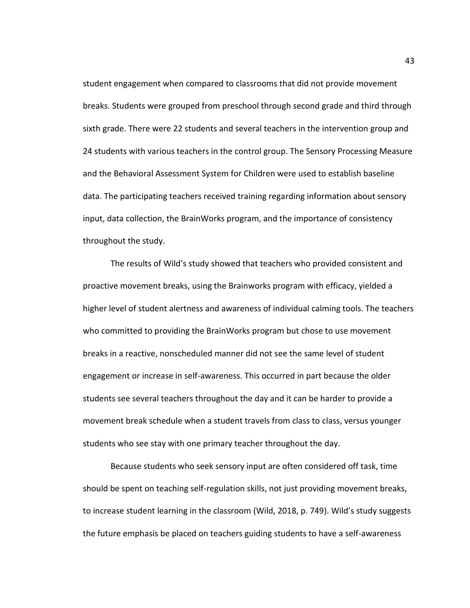student engagement when compared to classrooms that did not provide movement breaks. Students were grouped from preschool through second grade and third through sixth grade. There were 22 students and several teachers in the intervention group and 24 students with various teachers in the control group. The Sensory Processing Measure and the Behavioral Assessment System for Children were used to establish baseline data. The participating teachers received training regarding information about sensory input, data collection, the BrainWorks program, and the importance of consistency throughout the study.

The results of Wild's study showed that teachers who provided consistent and proactive movement breaks, using the Brainworks program with efficacy, yielded a higher level of student alertness and awareness of individual calming tools. The teachers who committed to providing the BrainWorks program but chose to use movement breaks in a reactive, nonscheduled manner did not see the same level of student engagement or increase in self-awareness. This occurred in part because the older students see several teachers throughout the day and it can be harder to provide a movement break schedule when a student travels from class to class, versus younger students who see stay with one primary teacher throughout the day.

Because students who seek sensory input are often considered off task, time should be spent on teaching self-regulation skills, not just providing movement breaks, to increase student learning in the classroom (Wild, 2018, p. 749). Wild's study suggests the future emphasis be placed on teachers guiding students to have a self-awareness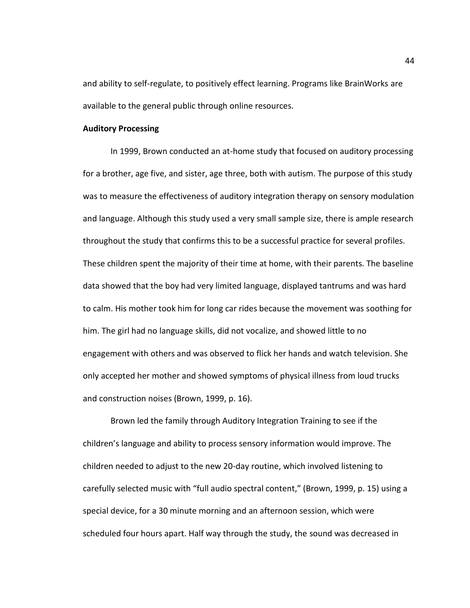and ability to self-regulate, to positively effect learning. Programs like BrainWorks are available to the general public through online resources.

#### **Auditory Processing**

In 1999, Brown conducted an at-home study that focused on auditory processing for a brother, age five, and sister, age three, both with autism. The purpose of this study was to measure the effectiveness of auditory integration therapy on sensory modulation and language. Although this study used a very small sample size, there is ample research throughout the study that confirms this to be a successful practice for several profiles. These children spent the majority of their time at home, with their parents. The baseline data showed that the boy had very limited language, displayed tantrums and was hard to calm. His mother took him for long car rides because the movement was soothing for him. The girl had no language skills, did not vocalize, and showed little to no engagement with others and was observed to flick her hands and watch television. She only accepted her mother and showed symptoms of physical illness from loud trucks and construction noises (Brown, 1999, p. 16).

Brown led the family through Auditory Integration Training to see if the children's language and ability to process sensory information would improve. The children needed to adjust to the new 20-day routine, which involved listening to carefully selected music with "full audio spectral content," (Brown, 1999, p. 15) using a special device, for a 30 minute morning and an afternoon session, which were scheduled four hours apart. Half way through the study, the sound was decreased in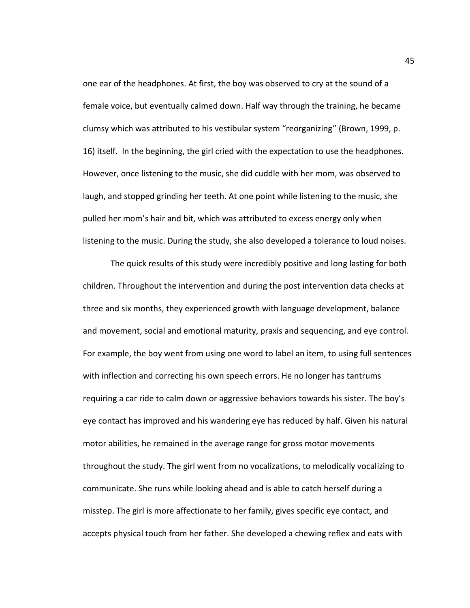one ear of the headphones. At first, the boy was observed to cry at the sound of a female voice, but eventually calmed down. Half way through the training, he became clumsy which was attributed to his vestibular system "reorganizing" (Brown, 1999, p. 16) itself. In the beginning, the girl cried with the expectation to use the headphones. However, once listening to the music, she did cuddle with her mom, was observed to laugh, and stopped grinding her teeth. At one point while listening to the music, she pulled her mom's hair and bit, which was attributed to excess energy only when listening to the music. During the study, she also developed a tolerance to loud noises.

The quick results of this study were incredibly positive and long lasting for both children. Throughout the intervention and during the post intervention data checks at three and six months, they experienced growth with language development, balance and movement, social and emotional maturity, praxis and sequencing, and eye control. For example, the boy went from using one word to label an item, to using full sentences with inflection and correcting his own speech errors. He no longer has tantrums requiring a car ride to calm down or aggressive behaviors towards his sister. The boy's eye contact has improved and his wandering eye has reduced by half. Given his natural motor abilities, he remained in the average range for gross motor movements throughout the study. The girl went from no vocalizations, to melodically vocalizing to communicate. She runs while looking ahead and is able to catch herself during a misstep. The girl is more affectionate to her family, gives specific eye contact, and accepts physical touch from her father. She developed a chewing reflex and eats with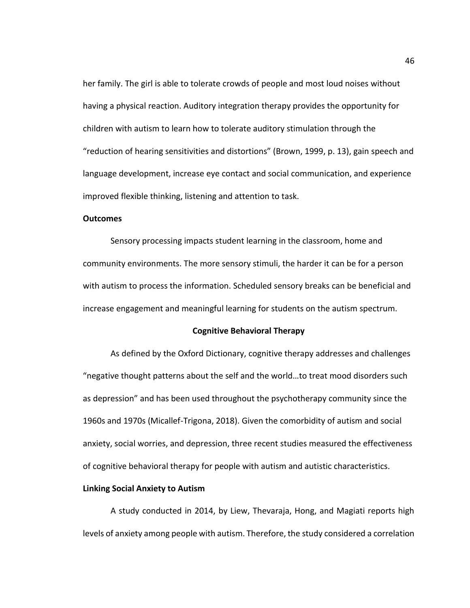her family. The girl is able to tolerate crowds of people and most loud noises without having a physical reaction. Auditory integration therapy provides the opportunity for children with autism to learn how to tolerate auditory stimulation through the "reduction of hearing sensitivities and distortions" (Brown, 1999, p. 13), gain speech and language development, increase eye contact and social communication, and experience improved flexible thinking, listening and attention to task.

#### **Outcomes**

Sensory processing impacts student learning in the classroom, home and community environments. The more sensory stimuli, the harder it can be for a person with autism to process the information. Scheduled sensory breaks can be beneficial and increase engagement and meaningful learning for students on the autism spectrum.

# **Cognitive Behavioral Therapy**

As defined by the Oxford Dictionary, cognitive therapy addresses and challenges "negative thought patterns about the self and the world…to treat mood disorders such as depression" and has been used throughout the psychotherapy community since the 1960s and 1970s (Micallef-Trigona, 2018). Given the comorbidity of autism and social anxiety, social worries, and depression, three recent studies measured the effectiveness of cognitive behavioral therapy for people with autism and autistic characteristics.

#### **Linking Social Anxiety to Autism**

A study conducted in 2014, by Liew, Thevaraja, Hong, and Magiati reports high levels of anxiety among people with autism. Therefore, the study considered a correlation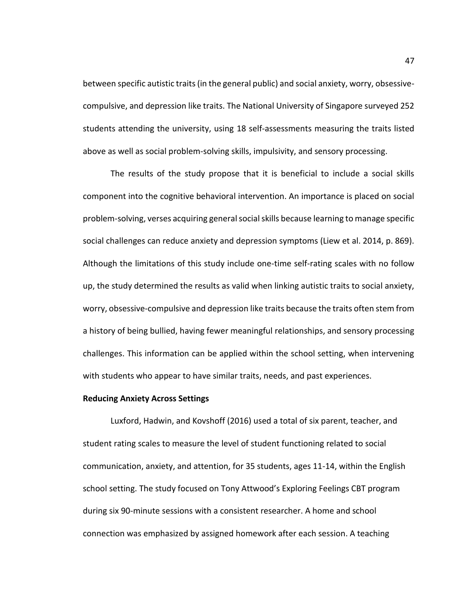between specific autistic traits (in the general public) and social anxiety, worry, obsessivecompulsive, and depression like traits. The National University of Singapore surveyed 252 students attending the university, using 18 self-assessments measuring the traits listed above as well as social problem-solving skills, impulsivity, and sensory processing.

The results of the study propose that it is beneficial to include a social skills component into the cognitive behavioral intervention. An importance is placed on social problem-solving, verses acquiring general social skills because learning to manage specific social challenges can reduce anxiety and depression symptoms (Liew et al. 2014, p. 869). Although the limitations of this study include one-time self-rating scales with no follow up, the study determined the results as valid when linking autistic traits to social anxiety, worry, obsessive-compulsive and depression like traits because the traits often stem from a history of being bullied, having fewer meaningful relationships, and sensory processing challenges. This information can be applied within the school setting, when intervening with students who appear to have similar traits, needs, and past experiences.

#### **Reducing Anxiety Across Settings**

Luxford, Hadwin, and Kovshoff (2016) used a total of six parent, teacher, and student rating scales to measure the level of student functioning related to social communication, anxiety, and attention, for 35 students, ages 11-14, within the English school setting. The study focused on Tony Attwood's Exploring Feelings CBT program during six 90-minute sessions with a consistent researcher. A home and school connection was emphasized by assigned homework after each session. A teaching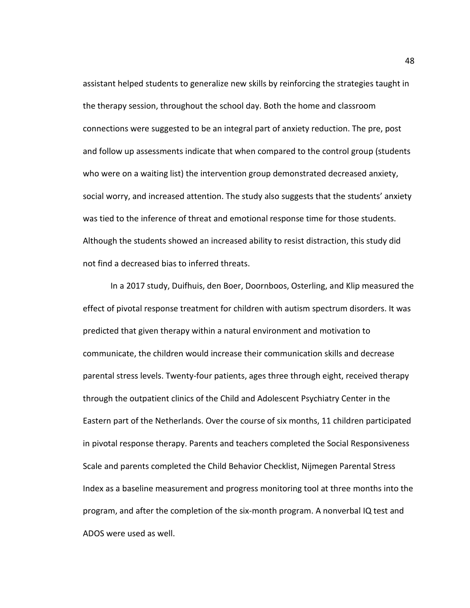assistant helped students to generalize new skills by reinforcing the strategies taught in the therapy session, throughout the school day. Both the home and classroom connections were suggested to be an integral part of anxiety reduction. The pre, post and follow up assessments indicate that when compared to the control group (students who were on a waiting list) the intervention group demonstrated decreased anxiety, social worry, and increased attention. The study also suggests that the students' anxiety was tied to the inference of threat and emotional response time for those students. Although the students showed an increased ability to resist distraction, this study did not find a decreased bias to inferred threats.

In a 2017 study, Duifhuis, den Boer, Doornboos, Osterling, and Klip measured the effect of pivotal response treatment for children with autism spectrum disorders. It was predicted that given therapy within a natural environment and motivation to communicate, the children would increase their communication skills and decrease parental stress levels. Twenty-four patients, ages three through eight, received therapy through the outpatient clinics of the Child and Adolescent Psychiatry Center in the Eastern part of the Netherlands. Over the course of six months, 11 children participated in pivotal response therapy. Parents and teachers completed the Social Responsiveness Scale and parents completed the Child Behavior Checklist, Nijmegen Parental Stress Index as a baseline measurement and progress monitoring tool at three months into the program, and after the completion of the six-month program. A nonverbal IQ test and ADOS were used as well.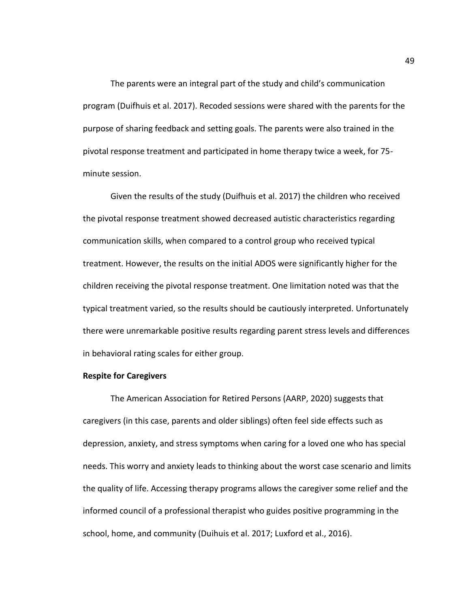The parents were an integral part of the study and child's communication program (Duifhuis et al. 2017). Recoded sessions were shared with the parents for the purpose of sharing feedback and setting goals. The parents were also trained in the pivotal response treatment and participated in home therapy twice a week, for 75 minute session.

Given the results of the study (Duifhuis et al. 2017) the children who received the pivotal response treatment showed decreased autistic characteristics regarding communication skills, when compared to a control group who received typical treatment. However, the results on the initial ADOS were significantly higher for the children receiving the pivotal response treatment. One limitation noted was that the typical treatment varied, so the results should be cautiously interpreted. Unfortunately there were unremarkable positive results regarding parent stress levels and differences in behavioral rating scales for either group.

## **Respite for Caregivers**

The American Association for Retired Persons (AARP, 2020) suggests that caregivers (in this case, parents and older siblings) often feel side effects such as depression, anxiety, and stress symptoms when caring for a loved one who has special needs. This worry and anxiety leads to thinking about the worst case scenario and limits the quality of life. Accessing therapy programs allows the caregiver some relief and the informed council of a professional therapist who guides positive programming in the school, home, and community (Duihuis et al. 2017; Luxford et al., 2016).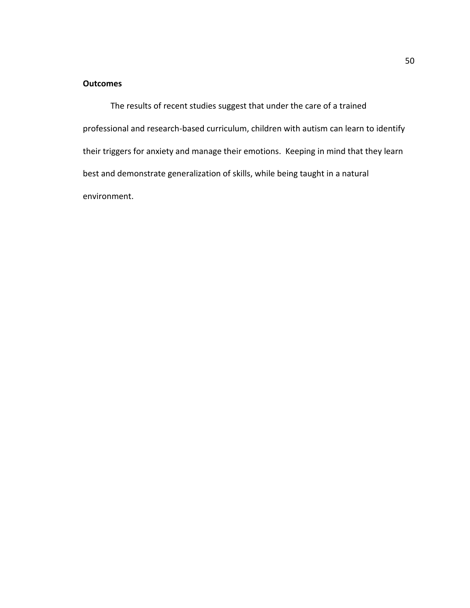# **Outcomes**

The results of recent studies suggest that under the care of a trained professional and research-based curriculum, children with autism can learn to identify their triggers for anxiety and manage their emotions. Keeping in mind that they learn best and demonstrate generalization of skills, while being taught in a natural environment.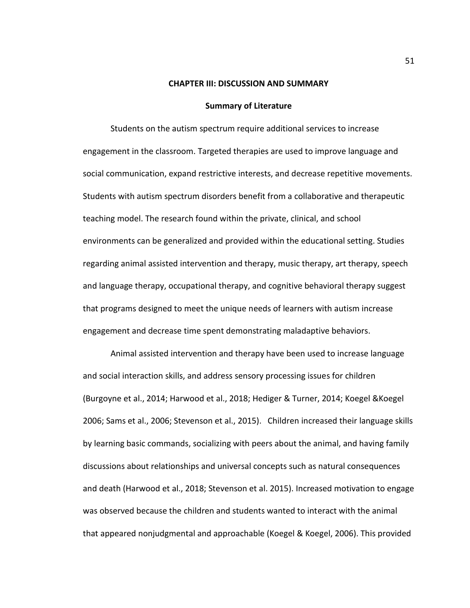#### **CHAPTER III: DISCUSSION AND SUMMARY**

## **Summary of Literature**

Students on the autism spectrum require additional services to increase engagement in the classroom. Targeted therapies are used to improve language and social communication, expand restrictive interests, and decrease repetitive movements. Students with autism spectrum disorders benefit from a collaborative and therapeutic teaching model. The research found within the private, clinical, and school environments can be generalized and provided within the educational setting. Studies regarding animal assisted intervention and therapy, music therapy, art therapy, speech and language therapy, occupational therapy, and cognitive behavioral therapy suggest that programs designed to meet the unique needs of learners with autism increase engagement and decrease time spent demonstrating maladaptive behaviors.

Animal assisted intervention and therapy have been used to increase language and social interaction skills, and address sensory processing issues for children (Burgoyne et al., 2014; Harwood et al., 2018; Hediger & Turner, 2014; Koegel &Koegel 2006; Sams et al., 2006; Stevenson et al., 2015). Children increased their language skills by learning basic commands, socializing with peers about the animal, and having family discussions about relationships and universal concepts such as natural consequences and death (Harwood et al., 2018; Stevenson et al. 2015). Increased motivation to engage was observed because the children and students wanted to interact with the animal that appeared nonjudgmental and approachable (Koegel & Koegel, 2006). This provided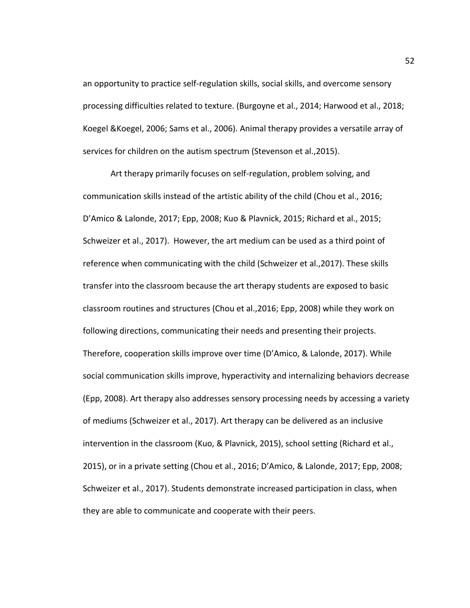an opportunity to practice self-regulation skills, social skills, and overcome sensory processing difficulties related to texture. (Burgoyne et al., 2014; Harwood et al., 2018; Koegel &Koegel, 2006; Sams et al., 2006). Animal therapy provides a versatile array of services for children on the autism spectrum (Stevenson et al.,2015).

Art therapy primarily focuses on self-regulation, problem solving, and communication skills instead of the artistic ability of the child (Chou et al., 2016; D'Amico & Lalonde, 2017; Epp, 2008; Kuo & Plavnick, 2015; Richard et al., 2015; Schweizer et al., 2017). However, the art medium can be used as a third point of reference when communicating with the child (Schweizer et al.,2017). These skills transfer into the classroom because the art therapy students are exposed to basic classroom routines and structures (Chou et al.,2016; Epp, 2008) while they work on following directions, communicating their needs and presenting their projects. Therefore, cooperation skills improve over time (D'Amico, & Lalonde, 2017). While social communication skills improve, hyperactivity and internalizing behaviors decrease (Epp, 2008). Art therapy also addresses sensory processing needs by accessing a variety of mediums (Schweizer et al., 2017). Art therapy can be delivered as an inclusive intervention in the classroom (Kuo, & Plavnick, 2015), school setting (Richard et al., 2015), or in a private setting (Chou et al., 2016; D'Amico, & Lalonde, 2017; Epp, 2008; Schweizer et al., 2017). Students demonstrate increased participation in class, when they are able to communicate and cooperate with their peers.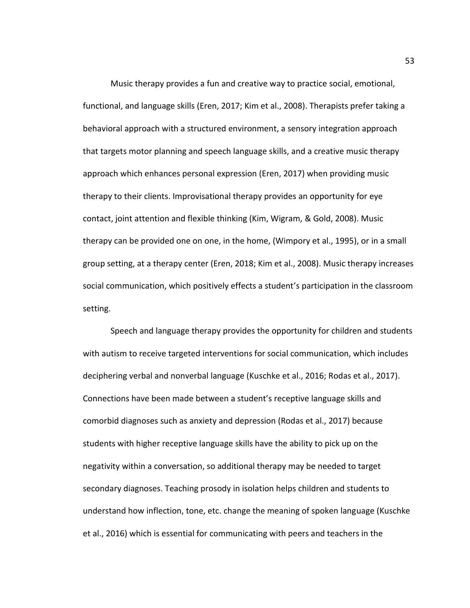Music therapy provides a fun and creative way to practice social, emotional, functional, and language skills (Eren, 2017; Kim et al., 2008). Therapists prefer taking a behavioral approach with a structured environment, a sensory integration approach that targets motor planning and speech language skills, and a creative music therapy approach which enhances personal expression (Eren, 2017) when providing music therapy to their clients. Improvisational therapy provides an opportunity for eye contact, joint attention and flexible thinking (Kim, Wigram, & Gold, 2008). Music therapy can be provided one on one, in the home, (Wimpory et al., 1995), or in a small group setting, at a therapy center (Eren, 2018; Kim et al., 2008). Music therapy increases social communication, which positively effects a student's participation in the classroom setting.

Speech and language therapy provides the opportunity for children and students with autism to receive targeted interventions for social communication, which includes deciphering verbal and nonverbal language (Kuschke et al., 2016; Rodas et al., 2017). Connections have been made between a student's receptive language skills and comorbid diagnoses such as anxiety and depression (Rodas et al., 2017) because students with higher receptive language skills have the ability to pick up on the negativity within a conversation, so additional therapy may be needed to target secondary diagnoses. Teaching prosody in isolation helps children and students to understand how inflection, tone, etc. change the meaning of spoken language (Kuschke et al., 2016) which is essential for communicating with peers and teachers in the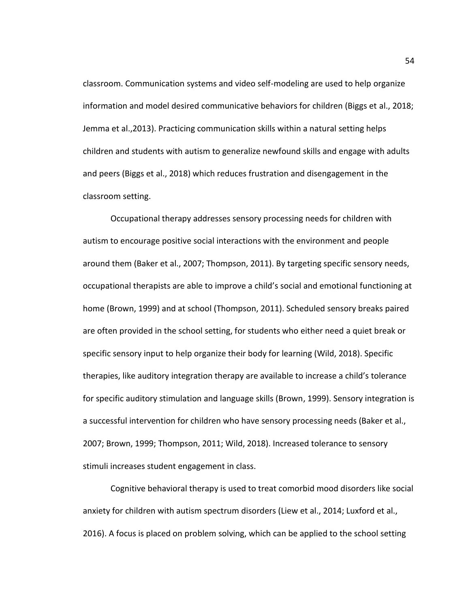classroom. Communication systems and video self-modeling are used to help organize information and model desired communicative behaviors for children (Biggs et al., 2018; Jemma et al.,2013). Practicing communication skills within a natural setting helps children and students with autism to generalize newfound skills and engage with adults and peers (Biggs et al., 2018) which reduces frustration and disengagement in the classroom setting.

Occupational therapy addresses sensory processing needs for children with autism to encourage positive social interactions with the environment and people around them (Baker et al., 2007; Thompson, 2011). By targeting specific sensory needs, occupational therapists are able to improve a child's social and emotional functioning at home (Brown, 1999) and at school (Thompson, 2011). Scheduled sensory breaks paired are often provided in the school setting, for students who either need a quiet break or specific sensory input to help organize their body for learning (Wild, 2018). Specific therapies, like auditory integration therapy are available to increase a child's tolerance for specific auditory stimulation and language skills (Brown, 1999). Sensory integration is a successful intervention for children who have sensory processing needs (Baker et al., 2007; Brown, 1999; Thompson, 2011; Wild, 2018). Increased tolerance to sensory stimuli increases student engagement in class.

Cognitive behavioral therapy is used to treat comorbid mood disorders like social anxiety for children with autism spectrum disorders (Liew et al., 2014; Luxford et al., 2016). A focus is placed on problem solving, which can be applied to the school setting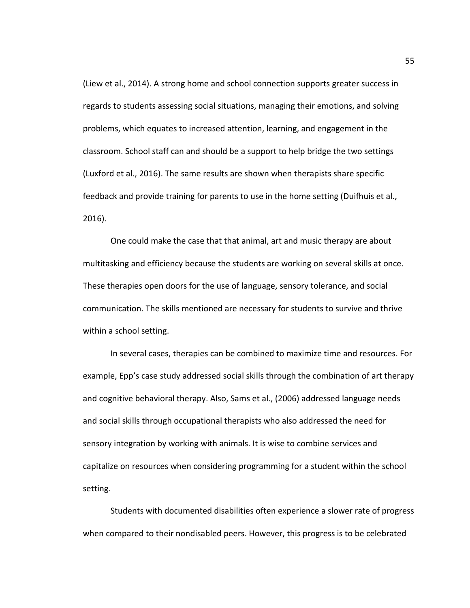(Liew et al., 2014). A strong home and school connection supports greater success in regards to students assessing social situations, managing their emotions, and solving problems, which equates to increased attention, learning, and engagement in the classroom. School staff can and should be a support to help bridge the two settings (Luxford et al., 2016). The same results are shown when therapists share specific feedback and provide training for parents to use in the home setting (Duifhuis et al., 2016).

One could make the case that that animal, art and music therapy are about multitasking and efficiency because the students are working on several skills at once. These therapies open doors for the use of language, sensory tolerance, and social communication. The skills mentioned are necessary for students to survive and thrive within a school setting.

In several cases, therapies can be combined to maximize time and resources. For example, Epp's case study addressed social skills through the combination of art therapy and cognitive behavioral therapy. Also, Sams et al., (2006) addressed language needs and social skills through occupational therapists who also addressed the need for sensory integration by working with animals. It is wise to combine services and capitalize on resources when considering programming for a student within the school setting.

Students with documented disabilities often experience a slower rate of progress when compared to their nondisabled peers. However, this progress is to be celebrated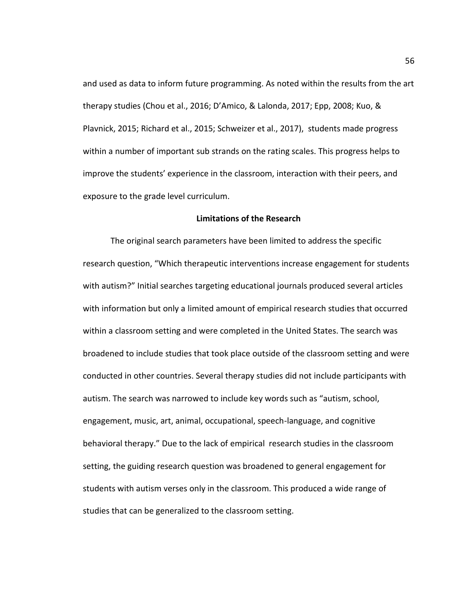and used as data to inform future programming. As noted within the results from the art therapy studies (Chou et al., 2016; D'Amico, & Lalonda, 2017; Epp, 2008; Kuo, & Plavnick, 2015; Richard et al., 2015; Schweizer et al., 2017), students made progress within a number of important sub strands on the rating scales. This progress helps to improve the students' experience in the classroom, interaction with their peers, and exposure to the grade level curriculum.

## **Limitations of the Research**

The original search parameters have been limited to address the specific research question, "Which therapeutic interventions increase engagement for students with autism?" Initial searches targeting educational journals produced several articles with information but only a limited amount of empirical research studies that occurred within a classroom setting and were completed in the United States. The search was broadened to include studies that took place outside of the classroom setting and were conducted in other countries. Several therapy studies did not include participants with autism. The search was narrowed to include key words such as "autism, school, engagement, music, art, animal, occupational, speech-language, and cognitive behavioral therapy." Due to the lack of empirical research studies in the classroom setting, the guiding research question was broadened to general engagement for students with autism verses only in the classroom. This produced a wide range of studies that can be generalized to the classroom setting.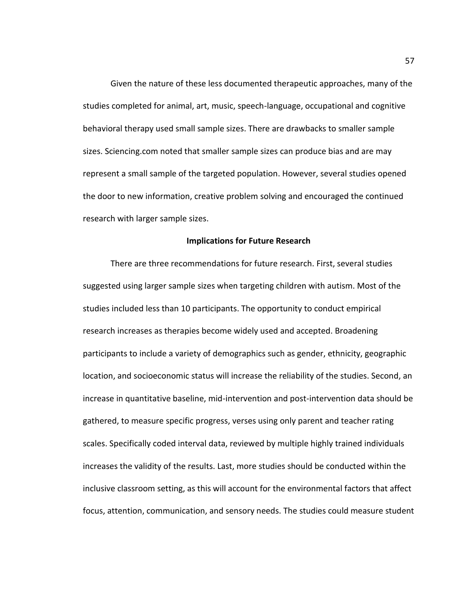Given the nature of these less documented therapeutic approaches, many of the studies completed for animal, art, music, speech-language, occupational and cognitive behavioral therapy used small sample sizes. There are drawbacks to smaller sample sizes. Sciencing.com noted that smaller sample sizes can produce bias and are may represent a small sample of the targeted population. However, several studies opened the door to new information, creative problem solving and encouraged the continued research with larger sample sizes.

## **Implications for Future Research**

There are three recommendations for future research. First, several studies suggested using larger sample sizes when targeting children with autism. Most of the studies included less than 10 participants. The opportunity to conduct empirical research increases as therapies become widely used and accepted. Broadening participants to include a variety of demographics such as gender, ethnicity, geographic location, and socioeconomic status will increase the reliability of the studies. Second, an increase in quantitative baseline, mid-intervention and post-intervention data should be gathered, to measure specific progress, verses using only parent and teacher rating scales. Specifically coded interval data, reviewed by multiple highly trained individuals increases the validity of the results. Last, more studies should be conducted within the inclusive classroom setting, as this will account for the environmental factors that affect focus, attention, communication, and sensory needs. The studies could measure student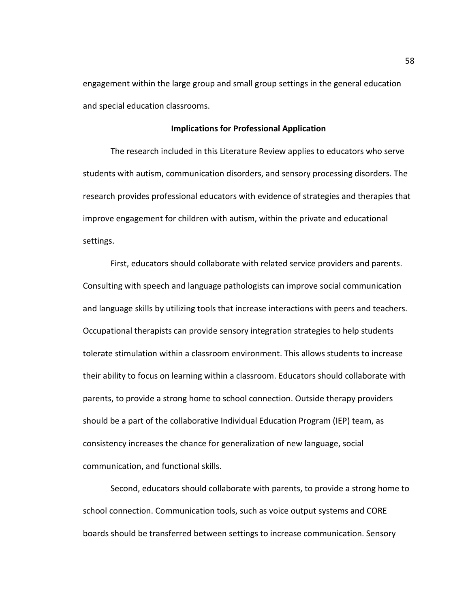engagement within the large group and small group settings in the general education and special education classrooms.

# **Implications for Professional Application**

The research included in this Literature Review applies to educators who serve students with autism, communication disorders, and sensory processing disorders. The research provides professional educators with evidence of strategies and therapies that improve engagement for children with autism, within the private and educational settings.

First, educators should collaborate with related service providers and parents. Consulting with speech and language pathologists can improve social communication and language skills by utilizing tools that increase interactions with peers and teachers. Occupational therapists can provide sensory integration strategies to help students tolerate stimulation within a classroom environment. This allows students to increase their ability to focus on learning within a classroom. Educators should collaborate with parents, to provide a strong home to school connection. Outside therapy providers should be a part of the collaborative Individual Education Program (IEP) team, as consistency increases the chance for generalization of new language, social communication, and functional skills.

Second, educators should collaborate with parents, to provide a strong home to school connection. Communication tools, such as voice output systems and CORE boards should be transferred between settings to increase communication. Sensory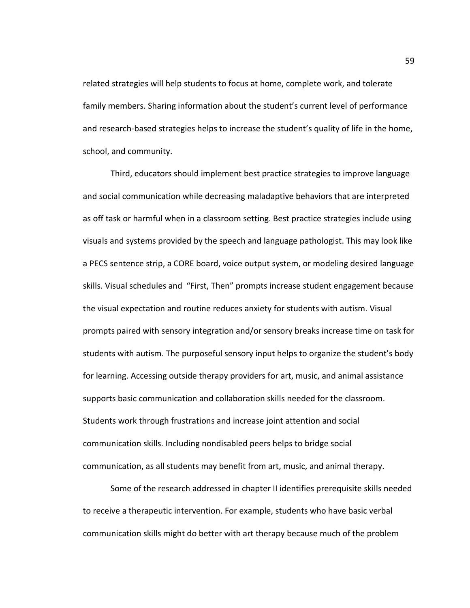related strategies will help students to focus at home, complete work, and tolerate family members. Sharing information about the student's current level of performance and research-based strategies helps to increase the student's quality of life in the home, school, and community.

Third, educators should implement best practice strategies to improve language and social communication while decreasing maladaptive behaviors that are interpreted as off task or harmful when in a classroom setting. Best practice strategies include using visuals and systems provided by the speech and language pathologist. This may look like a PECS sentence strip, a CORE board, voice output system, or modeling desired language skills. Visual schedules and "First, Then" prompts increase student engagement because the visual expectation and routine reduces anxiety for students with autism. Visual prompts paired with sensory integration and/or sensory breaks increase time on task for students with autism. The purposeful sensory input helps to organize the student's body for learning. Accessing outside therapy providers for art, music, and animal assistance supports basic communication and collaboration skills needed for the classroom. Students work through frustrations and increase joint attention and social communication skills. Including nondisabled peers helps to bridge social communication, as all students may benefit from art, music, and animal therapy.

Some of the research addressed in chapter II identifies prerequisite skills needed to receive a therapeutic intervention. For example, students who have basic verbal communication skills might do better with art therapy because much of the problem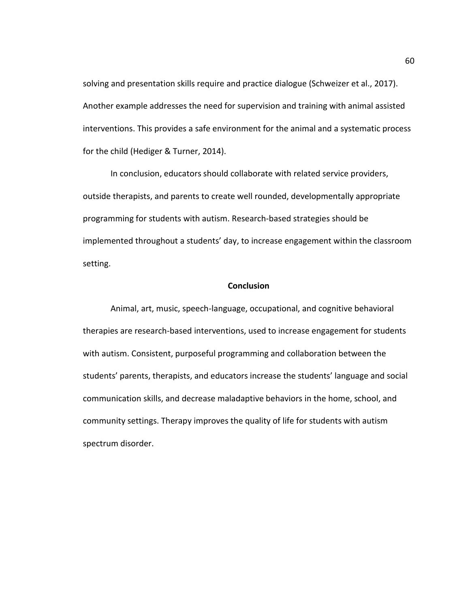solving and presentation skills require and practice dialogue (Schweizer et al., 2017). Another example addresses the need for supervision and training with animal assisted interventions. This provides a safe environment for the animal and a systematic process for the child (Hediger & Turner, 2014).

In conclusion, educators should collaborate with related service providers, outside therapists, and parents to create well rounded, developmentally appropriate programming for students with autism. Research-based strategies should be implemented throughout a students' day, to increase engagement within the classroom setting.

#### **Conclusion**

Animal, art, music, speech-language, occupational, and cognitive behavioral therapies are research-based interventions, used to increase engagement for students with autism. Consistent, purposeful programming and collaboration between the students' parents, therapists, and educators increase the students' language and social communication skills, and decrease maladaptive behaviors in the home, school, and community settings. Therapy improves the quality of life for students with autism spectrum disorder.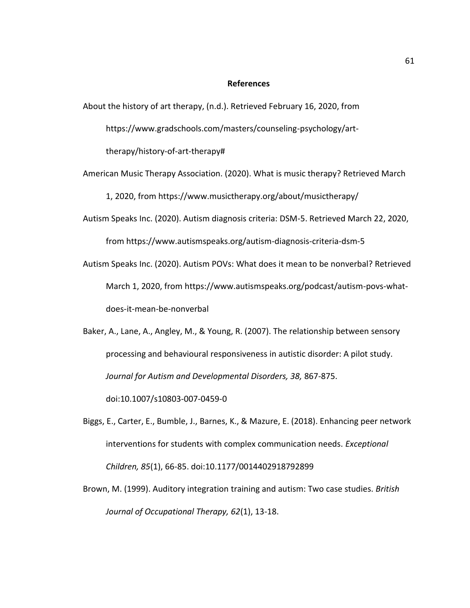#### **References**

About the history of art therapy, (n.d.). Retrieved February 16, 2020, from

https://www.gradschools.com/masters/counseling-psychology/art-

therapy/history-of-art-therapy#

- American Music Therapy Association. (2020). What is music therapy? Retrieved March 1, 2020, from https://www.musictherapy.org/about/musictherapy/
- Autism Speaks Inc. (2020). Autism diagnosis criteria: DSM-5. Retrieved March 22, 2020, from<https://www.autismspeaks.org/autism-diagnosis-criteria-dsm-5>
- Autism Speaks Inc. (2020). Autism POVs: What does it mean to be nonverbal? Retrieved March 1, 2020, from [https://www.autismspeaks.org/podcast/autism-povs-what](https://www.autismspeaks.org/podcast/autism-povs-what-does-it-mean-be-nonverbal)[does-it-mean-be-nonverbal](https://www.autismspeaks.org/podcast/autism-povs-what-does-it-mean-be-nonverbal)
- Baker, A., Lane, A., Angley, M., & Young, R. (2007). The relationship between sensory processing and behavioural responsiveness in autistic disorder: A pilot study. *Journal for Autism and Developmental Disorders, 38,* 867-875.

doi:10.1007/s10803-007-0459-0

- Biggs, E., Carter, E., Bumble, J., Barnes, K., & Mazure, E. (2018). Enhancing peer network interventions for students with complex communication needs. *Exceptional Children, 85*(1), 66-85. doi:10.1177/0014402918792899
- Brown, M. (1999). Auditory integration training and autism: Two case studies. *British Journal of Occupational Therapy, 62*(1), 13-18.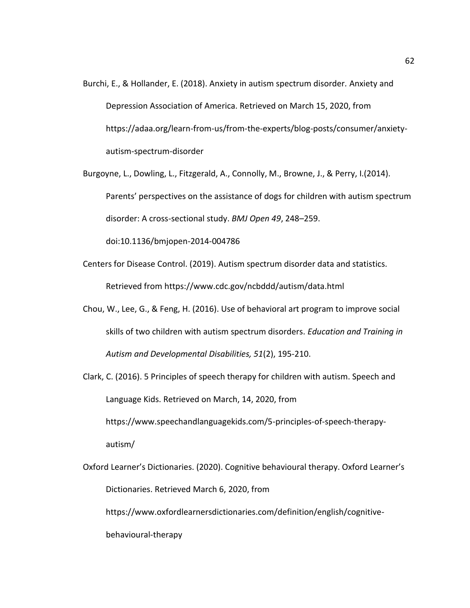- Burchi, E., & Hollander, E. (2018). Anxiety in autism spectrum disorder*.* Anxiety and Depression Association of America. Retrieved on March 15, 2020, from https://adaa.org/learn-from-us/from-the-experts/blog-posts/consumer/anxietyautism-spectrum-disorder
- Burgoyne, L., Dowling, L., Fitzgerald, A., Connolly, M., Browne, J., & Perry, I.(2014). Parents' perspectives on the assistance of dogs for children with autism spectrum disorder: A cross-sectional study. *BMJ Open 49*, 248–259.

doi:10.1136/bmjopen-2014-004786

- Centers for Disease Control. (2019). Autism spectrum disorder data and statistics. Retrieved from<https://www.cdc.gov/ncbddd/autism/data.html>
- Chou, W., Lee, G., & Feng, H. (2016). Use of behavioral art program to improve social skills of two children with autism spectrum disorders. *Education and Training in Autism and Developmental Disabilities, 51*(2), 195-210.
- Clark, C. (2016). 5 Principles of speech therapy for children with autism. Speech and Language Kids. Retrieved on March, 14, 2020, from [https://www.speechandlanguagekids.com/5-principles-of-speech-therapy](https://www.speechandlanguagekids.com/5-principles-of-speech-therapy-) autism/
- Oxford Learner's Dictionaries. (2020). Cognitive behavioural therapy. Oxford Learner's Dictionaries. Retrieved March 6, 2020, from <https://www.oxfordlearnersdictionaries.com/definition/english/cognitive->

behavioural-therapy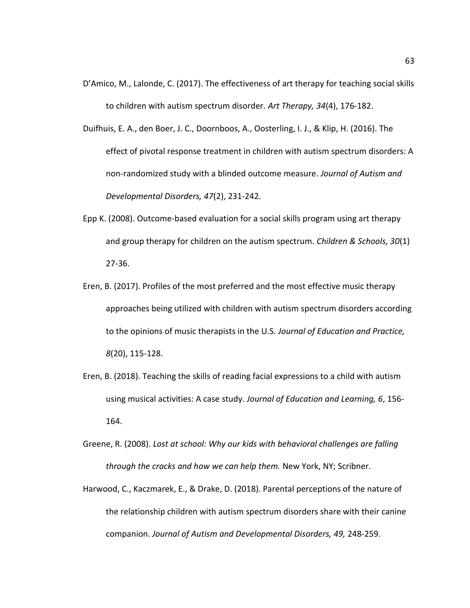- D'Amico, M., Lalonde, C. (2017). The effectiveness of art therapy for teaching social skills to children with autism spectrum disorder. *Art Therapy, 34*(4), 176-182.
- Duifhuis, E. A., den Boer, J. C., Doornboos, A., Oosterling, I. J., & Klip, H. (2016). The effect of pivotal response treatment in children with autism spectrum disorders: A non-randomized study with a blinded outcome measure. *Journal of Autism and Developmental Disorders, 47*(2), 231-242.
- Epp K. (2008). Outcome-based evaluation for a social skills program using art therapy and group therapy for children on the autism spectrum. *Children & Schools, 30*(1) 27-36.
- Eren, B. (2017). Profiles of the most preferred and the most effective music therapy approaches being utilized with children with autism spectrum disorders according to the opinions of music therapists in the U.S. *Journal of Education and Practice, 8*(20), 115-128.
- Eren, B. (2018). Teaching the skills of reading facial expressions to a child with autism using musical activities: A case study. *Journal of Education and Learning, 6*, 156- 164.
- Greene, R. (2008). *Lost at school: Why our kids with behavioral challenges are falling through the cracks and how we can help them.* New York, NY; Scribner.
- Harwood, C., Kaczmarek, E., & Drake, D. (2018). Parental perceptions of the nature of the relationship children with autism spectrum disorders share with their canine companion. *Journal of Autism and Developmental Disorders, 49,* 248-259.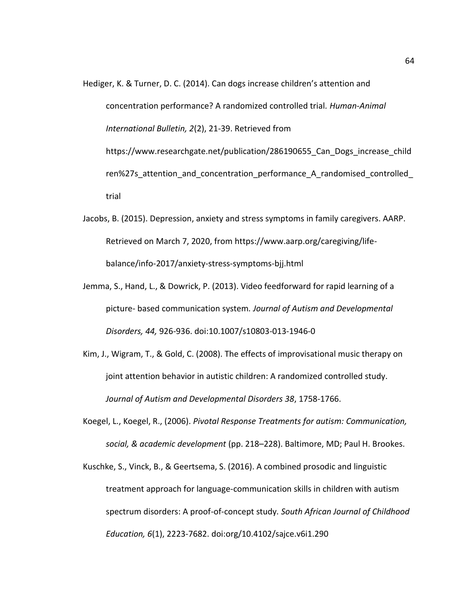Hediger, K. & Turner, D. C. (2014). Can dogs increase children's attention and concentration performance? A randomized controlled trial*. Human-Animal International Bulletin, 2*(2), 21-39. Retrieved from https://www.researchgate.net/publication/286190655\_Can\_Dogs\_increase\_child ren%27s attention and concentration performance A randomised controlled trial

- Jacobs, B. (2015). Depression, anxiety and stress symptoms in family caregivers. AARP. Retrieved on March 7, 2020, from [https://www.aarp.org/caregiving/life](https://www.aarp.org/caregiving/life-balance/info-2017/anxiety-stress-symptoms-bjj.html)[balance/info-2017/anxiety-stress-symptoms-bjj.html](https://www.aarp.org/caregiving/life-balance/info-2017/anxiety-stress-symptoms-bjj.html)
- Jemma, S., Hand, L., & Dowrick, P. (2013). Video feedforward for rapid learning of a picture- based communication system*. Journal of Autism and Developmental Disorders, 44,* 926-936. doi:10.1007/s10803-013-1946-0
- Kim, J., Wigram, T., & Gold, C. (2008). The effects of improvisational music therapy on joint attention behavior in autistic children: A randomized controlled study. *Journal of Autism and Developmental Disorders 38*, 1758-1766.
- Koegel, L., Koegel, R., (2006). *Pivotal Response Treatments for autism: Communication, social, & academic development* (pp. 218–228). Baltimore, MD; Paul H. Brookes.

Kuschke, S., Vinck, B., & Geertsema, S. (2016). A combined prosodic and linguistic treatment approach for language-communication skills in children with autism spectrum disorders: A proof-of-concept study*. South African Journal of Childhood Education, 6*(1), 2223-7682. doi:org/10.4102/sajce.v6i1.290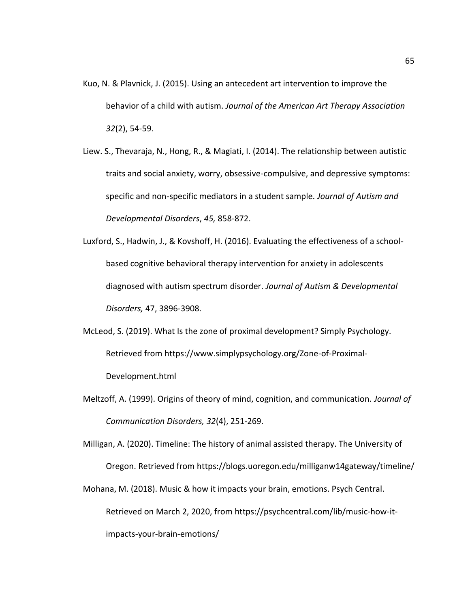- Kuo, N. & Plavnick, J. (2015). Using an antecedent art intervention to improve the behavior of a child with autism. *Journal of the American Art Therapy Association 32*(2), 54-59.
- Liew. S., Thevaraja, N., Hong, R., & Magiati, I. (2014). The relationship between autistic traits and social anxiety, worry, obsessive-compulsive, and depressive symptoms: specific and non-specific mediators in a student sample*. Journal of Autism and Developmental Disorders*, *45,* 858-872.

```
Luxford, S., Hadwin, J., & Kovshoff, H. (2016). Evaluating the effectiveness of a school-
based cognitive behavioral therapy intervention for anxiety in adolescents 
diagnosed with autism spectrum disorder. Journal of Autism & Developmental 
Disorders, 47, 3896-3908.
```
- McLeod, S. (2019). What Is the zone of proximal development? Simply Psychology. Retrieved from [https://www.simplypsychology.org/Zone-of-Proximal-](https://www.simplypsychology.org/Zone-of-Proximal-Development.html)[Development.html](https://www.simplypsychology.org/Zone-of-Proximal-Development.html)
- Meltzoff, A. (1999). Origins of theory of mind, cognition, and communication. *Journal of Communication Disorders, 32*(4), 251-269.

Milligan, A. (2020). Timeline: The history of animal assisted therapy. The University of Oregon. Retrieved from<https://blogs.uoregon.edu/milliganw14gateway/timeline/>

Mohana, M. (2018). Music & how it impacts your brain, emotions. Psych Central. Retrieved on March 2, 2020, from [https://psychcentral.com/lib/music-how-it](https://psychcentral.com/lib/music-how-it-impacts-your-brain-emotions/)[impacts-your-brain-emotions/](https://psychcentral.com/lib/music-how-it-impacts-your-brain-emotions/)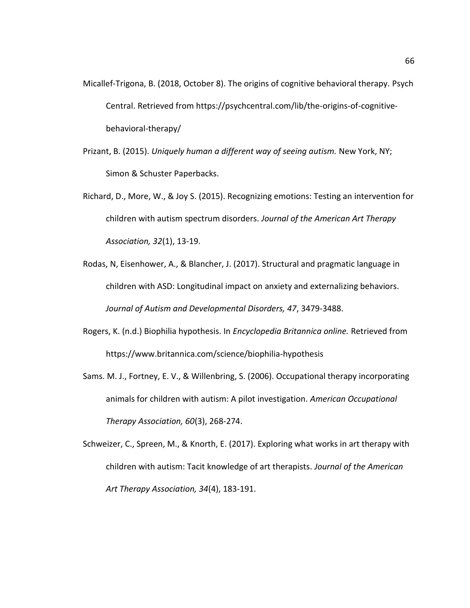- Micallef-Trigona, B. (2018, October 8). The origins of cognitive behavioral therapy. Psych Central. Retrieved from [https://psychcentral.com/lib/the-origins-of-cognitive](https://psychcentral.com/lib/the-origins-of-cognitive-behavioral-therapy/)[behavioral-therapy/](https://psychcentral.com/lib/the-origins-of-cognitive-behavioral-therapy/)
- Prizant, B. (2015). *Uniquely human a different way of seeing autism.* New York, NY; Simon & Schuster Paperbacks.
- Richard, D., More, W., & Joy S. (2015). Recognizing emotions: Testing an intervention for children with autism spectrum disorders. *Journal of the American Art Therapy Association, 32*(1), 13-19.
- Rodas, N, Eisenhower, A., & Blancher, J. (2017). Structural and pragmatic language in children with ASD: Longitudinal impact on anxiety and externalizing behaviors. *Journal of Autism and Developmental Disorders, 47*, 3479-3488.
- Rogers, K. (n.d.) Biophilia hypothesis. In *Encyclopedia Britannica online.* Retrieved from <https://www.britannica.com/science/biophilia-hypothesis>
- Sams. M. J., Fortney, E. V., & Willenbring, S. (2006). Occupational therapy incorporating animals for children with autism: A pilot investigation. *American Occupational Therapy Association, 60*(3), 268-274.
- Schweizer, C., Spreen, M., & Knorth, E. (2017). Exploring what works in art therapy with children with autism: Tacit knowledge of art therapists. *Journal of the American Art Therapy Association, 34*(4), 183-191.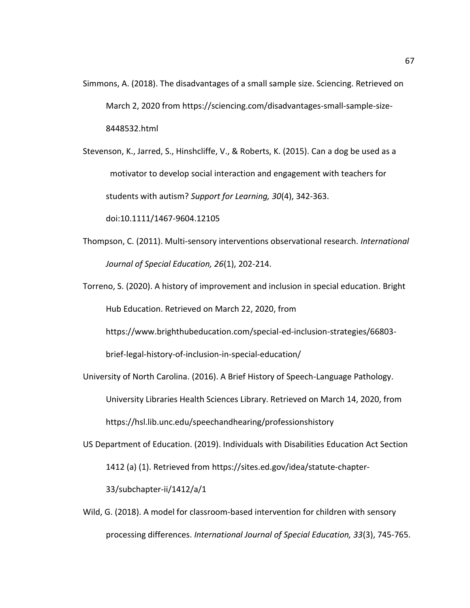- Simmons, A. (2018). The disadvantages of a small sample size. Sciencing. Retrieved on March 2, 2020 from [https://sciencing.com/disadvantages-small-sample-size-](https://sciencing.com/disadvantages-small-sample-size-8448532.html)[8448532.html](https://sciencing.com/disadvantages-small-sample-size-8448532.html)
- Stevenson, K., Jarred, S., Hinshcliffe, V., & Roberts, K. (2015). Can a dog be used as a motivator to develop social interaction and engagement with teachers for students with autism? *Support for Learning, 30*(4), 342-363.

doi:10.1111/1467-9604.12105

- Thompson, C. (2011). Multi-sensory interventions observational research. *International Journal of Special Education, 26*(1), 202-214.
- Torreno, S. (2020). A history of improvement and inclusion in special education. Bright Hub Education. Retrieved on March 22, 2020, from

https://www.brighthubeducation.com/special-ed-inclusion-strategies/66803-

brief-legal-history-of-inclusion-in-special-education/

- University of North Carolina. (2016). A Brief History of Speech-Language Pathology. University Libraries Health Sciences Library. Retrieved on March 14, 2020, from https://hsl.lib.unc.edu/speechandhearing/professionshistory
- US Department of Education. (2019). Individuals with Disabilities Education Act Section 1412 (a) (1). Retrieved from [https://sites.ed.gov/idea/statute-chapter-](https://sites.ed.gov/idea/statute-chapter-33/subchapter-ii/1412/a/1)

[33/subchapter-ii/1412/a/1](https://sites.ed.gov/idea/statute-chapter-33/subchapter-ii/1412/a/1)

Wild, G. (2018). A model for classroom-based intervention for children with sensory processing differences. *International Journal of Special Education, 33*(3), 745-765.